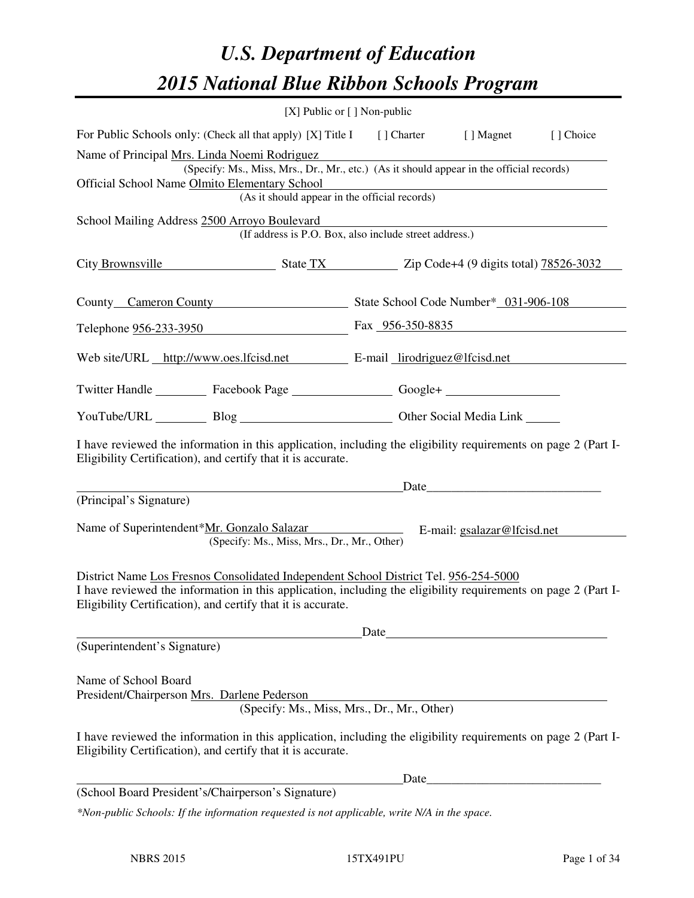# *U.S. Department of Education 2015 National Blue Ribbon Schools Program*

| [X] Public or [] Non-public                                                                                                                                                                                                                                            |      |      |                                                      |  |  |  |  |
|------------------------------------------------------------------------------------------------------------------------------------------------------------------------------------------------------------------------------------------------------------------------|------|------|------------------------------------------------------|--|--|--|--|
| For Public Schools only: (Check all that apply) [X] Title I [] Charter [] Magnet<br>[] Choice                                                                                                                                                                          |      |      |                                                      |  |  |  |  |
| Name of Principal Mrs. Linda Noemi Rodriguez<br>(Specify: Ms., Miss, Mrs., Dr., Mr., etc.) (As it should appear in the official records)<br>Official School Name Olmito Elementary School<br>(As it should appear in the official records)                             |      |      |                                                      |  |  |  |  |
| School Mailing Address 2500 Arroyo Boulevard<br>(If address is P.O. Box, also include street address.)                                                                                                                                                                 |      |      |                                                      |  |  |  |  |
| City Brownsville State TX Zip Code+4 (9 digits total) 78526-3032                                                                                                                                                                                                       |      |      |                                                      |  |  |  |  |
| County Cameron County State School Code Number* 031-906-108                                                                                                                                                                                                            |      |      |                                                      |  |  |  |  |
| Telephone <u>956-233-3950</u> Fax 956-350-8835                                                                                                                                                                                                                         |      |      |                                                      |  |  |  |  |
| Web site/URL http://www.oes.lfcisd.net E-mail lirodriguez@lfcisd.net                                                                                                                                                                                                   |      |      |                                                      |  |  |  |  |
| Twitter Handle ___________ Facebook Page ___________________ Google+ ____________                                                                                                                                                                                      |      |      |                                                      |  |  |  |  |
| YouTube/URL Blog Blog Cher Social Media Link                                                                                                                                                                                                                           |      |      |                                                      |  |  |  |  |
| I have reviewed the information in this application, including the eligibility requirements on page 2 (Part I-<br>Eligibility Certification), and certify that it is accurate.                                                                                         |      |      |                                                      |  |  |  |  |
|                                                                                                                                                                                                                                                                        |      |      | Date                                                 |  |  |  |  |
| (Principal's Signature)<br>Name of Superintendent*Mr. Gonzalo Salazar<br>(Specify: Ms., Miss, Mrs., Dr., Mr., Other)                                                                                                                                                   |      |      | E-mail: gsalazar@lfcisd.net                          |  |  |  |  |
| District Name Los Fresnos Consolidated Independent School District Tel. 956-254-5000<br>I have reviewed the information in this application, including the eligibility requirements on page 2 (Part I-<br>Eligibility Certification), and certify that it is accurate. |      |      |                                                      |  |  |  |  |
|                                                                                                                                                                                                                                                                        | Date |      |                                                      |  |  |  |  |
| (Superintendent's Signature)                                                                                                                                                                                                                                           |      |      |                                                      |  |  |  |  |
| Name of School Board<br>President/Chairperson Mrs. Darlene Pederson<br>(Specify: Ms., Miss, Mrs., Dr., Mr., Other)                                                                                                                                                     |      |      |                                                      |  |  |  |  |
| I have reviewed the information in this application, including the eligibility requirements on page 2 (Part I-<br>Eligibility Certification), and certify that it is accurate.                                                                                         |      |      |                                                      |  |  |  |  |
|                                                                                                                                                                                                                                                                        |      | Date | <u> 1980 - Jan Barnett, fransk politik (d. 1980)</u> |  |  |  |  |
| (School Board President's/Chairperson's Signature)                                                                                                                                                                                                                     |      |      |                                                      |  |  |  |  |
| *Non-public Schools: If the information requested is not applicable, write N/A in the space.                                                                                                                                                                           |      |      |                                                      |  |  |  |  |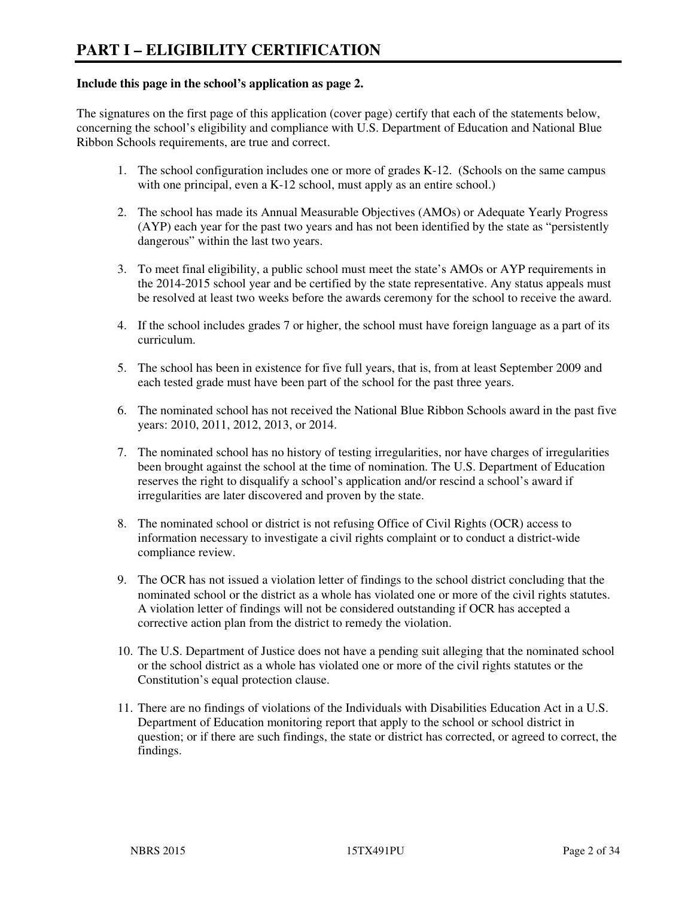#### **Include this page in the school's application as page 2.**

The signatures on the first page of this application (cover page) certify that each of the statements below, concerning the school's eligibility and compliance with U.S. Department of Education and National Blue Ribbon Schools requirements, are true and correct.

- 1. The school configuration includes one or more of grades K-12. (Schools on the same campus with one principal, even a K-12 school, must apply as an entire school.)
- 2. The school has made its Annual Measurable Objectives (AMOs) or Adequate Yearly Progress (AYP) each year for the past two years and has not been identified by the state as "persistently dangerous" within the last two years.
- 3. To meet final eligibility, a public school must meet the state's AMOs or AYP requirements in the 2014-2015 school year and be certified by the state representative. Any status appeals must be resolved at least two weeks before the awards ceremony for the school to receive the award.
- 4. If the school includes grades 7 or higher, the school must have foreign language as a part of its curriculum.
- 5. The school has been in existence for five full years, that is, from at least September 2009 and each tested grade must have been part of the school for the past three years.
- 6. The nominated school has not received the National Blue Ribbon Schools award in the past five years: 2010, 2011, 2012, 2013, or 2014.
- 7. The nominated school has no history of testing irregularities, nor have charges of irregularities been brought against the school at the time of nomination. The U.S. Department of Education reserves the right to disqualify a school's application and/or rescind a school's award if irregularities are later discovered and proven by the state.
- 8. The nominated school or district is not refusing Office of Civil Rights (OCR) access to information necessary to investigate a civil rights complaint or to conduct a district-wide compliance review.
- 9. The OCR has not issued a violation letter of findings to the school district concluding that the nominated school or the district as a whole has violated one or more of the civil rights statutes. A violation letter of findings will not be considered outstanding if OCR has accepted a corrective action plan from the district to remedy the violation.
- 10. The U.S. Department of Justice does not have a pending suit alleging that the nominated school or the school district as a whole has violated one or more of the civil rights statutes or the Constitution's equal protection clause.
- 11. There are no findings of violations of the Individuals with Disabilities Education Act in a U.S. Department of Education monitoring report that apply to the school or school district in question; or if there are such findings, the state or district has corrected, or agreed to correct, the findings.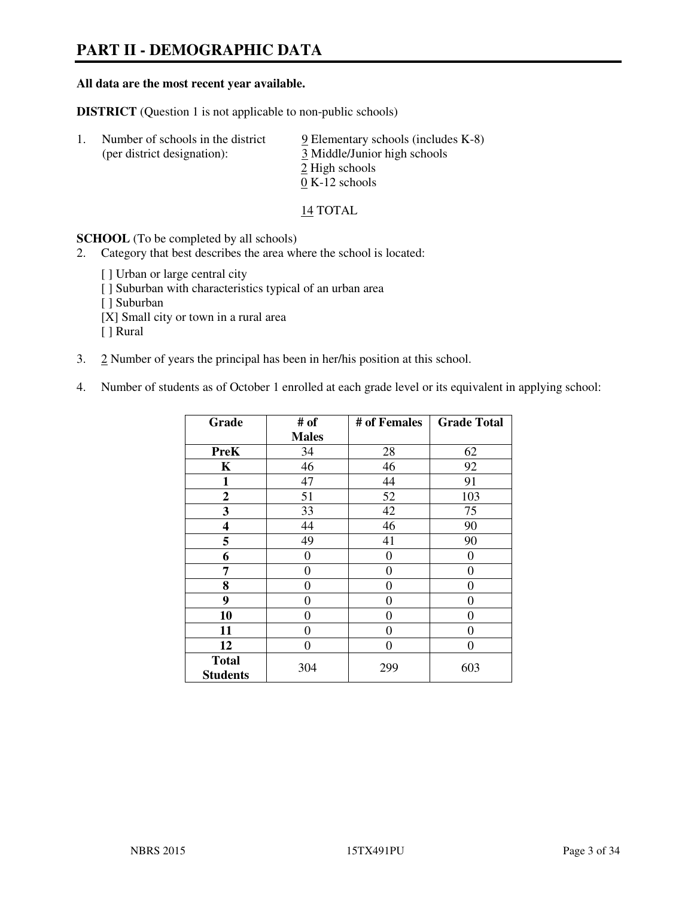# **PART II - DEMOGRAPHIC DATA**

#### **All data are the most recent year available.**

**DISTRICT** (Question 1 is not applicable to non-public schools)

| $\perp$ | Number of schools in the district<br>(per district designation): | $9$ Elementary schools (includes K-8)<br>3 Middle/Junior high schools<br>2 High schools |
|---------|------------------------------------------------------------------|-----------------------------------------------------------------------------------------|
|         |                                                                  | $0 K-12$ schools                                                                        |

14 TOTAL

**SCHOOL** (To be completed by all schools)

- 2. Category that best describes the area where the school is located:
	- [ ] Urban or large central city [ ] Suburban with characteristics typical of an urban area [ ] Suburban [X] Small city or town in a rural area [ ] Rural
- 3. 2 Number of years the principal has been in her/his position at this school.
- 4. Number of students as of October 1 enrolled at each grade level or its equivalent in applying school:

| Grade                           | # of         | # of Females     | <b>Grade Total</b> |
|---------------------------------|--------------|------------------|--------------------|
|                                 | <b>Males</b> |                  |                    |
| <b>PreK</b>                     | 34           | 28               | 62                 |
| K                               | 46           | 46               | 92                 |
| 1                               | 47           | 44               | 91                 |
| $\mathbf{2}$                    | 51           | 52               | 103                |
| 3                               | 33           | 42               | 75                 |
| 4                               | 44           | 46               | 90                 |
| 5                               | 49           | 41               | 90                 |
| 6                               | 0            | $\boldsymbol{0}$ | 0                  |
| 7                               | $\theta$     | $\overline{0}$   | 0                  |
| 8                               | 0            | 0                | 0                  |
| 9                               | $\theta$     | $\overline{0}$   | 0                  |
| 10                              | 0            | 0                | 0                  |
| 11                              | 0            | 0                | 0                  |
| 12                              | 0            | 0                | 0                  |
| <b>Total</b><br><b>Students</b> | 304          | 299              | 603                |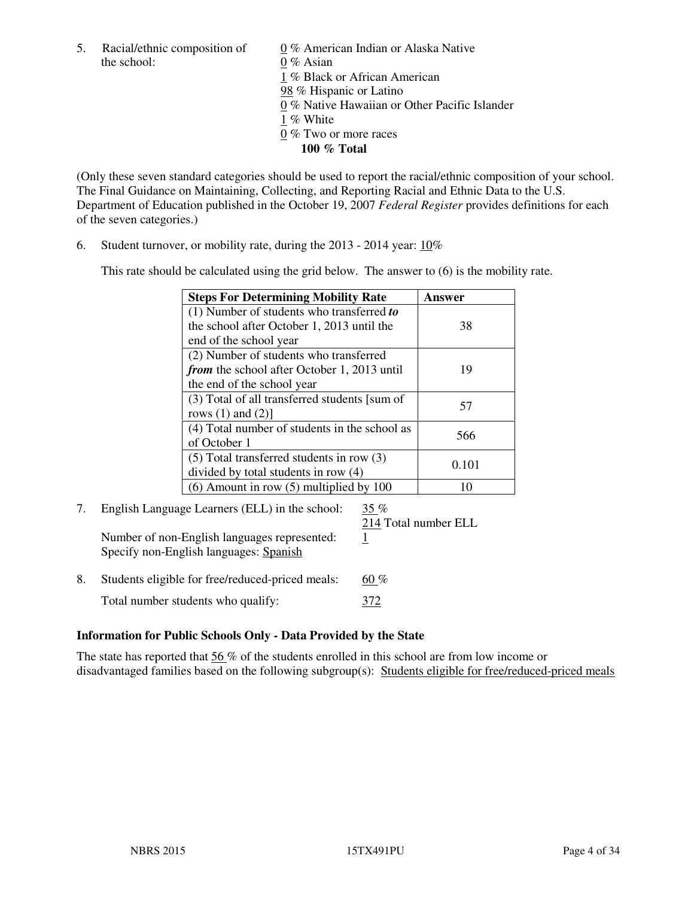the school: 0 % Asian

5. Racial/ethnic composition of  $0\%$  American Indian or Alaska Native 1 % Black or African American 98 % Hispanic or Latino 0 % Native Hawaiian or Other Pacific Islander 1 % White 0 % Two or more races **100 % Total** 

(Only these seven standard categories should be used to report the racial/ethnic composition of your school. The Final Guidance on Maintaining, Collecting, and Reporting Racial and Ethnic Data to the U.S. Department of Education published in the October 19, 2007 *Federal Register* provides definitions for each of the seven categories.)

6. Student turnover, or mobility rate, during the 2013 - 2014 year: 10%

This rate should be calculated using the grid below. The answer to (6) is the mobility rate.

| <b>Steps For Determining Mobility Rate</b>         | Answer |
|----------------------------------------------------|--------|
| $(1)$ Number of students who transferred to        |        |
| the school after October 1, 2013 until the         | 38     |
| end of the school year                             |        |
| (2) Number of students who transferred             |        |
| <i>from</i> the school after October 1, 2013 until | 19     |
| the end of the school year                         |        |
| (3) Total of all transferred students [sum of      | 57     |
| rows $(1)$ and $(2)$ ]                             |        |
| (4) Total number of students in the school as      | 566    |
| of October 1                                       |        |
| $(5)$ Total transferred students in row $(3)$      | 0.101  |
| divided by total students in row (4)               |        |
| $(6)$ Amount in row $(5)$ multiplied by 100        | 10     |

# 7. English Language Learners (ELL) in the school: 35 %

Number of non-English languages represented: 1 Specify non-English languages: Spanish

214 Total number ELL

8. Students eligible for free/reduced-priced meals:  $60\%$ Total number students who qualify:  $\frac{372}{ }$ 

# **Information for Public Schools Only - Data Provided by the State**

The state has reported that  $56\%$  of the students enrolled in this school are from low income or disadvantaged families based on the following subgroup(s): Students eligible for free/reduced-priced meals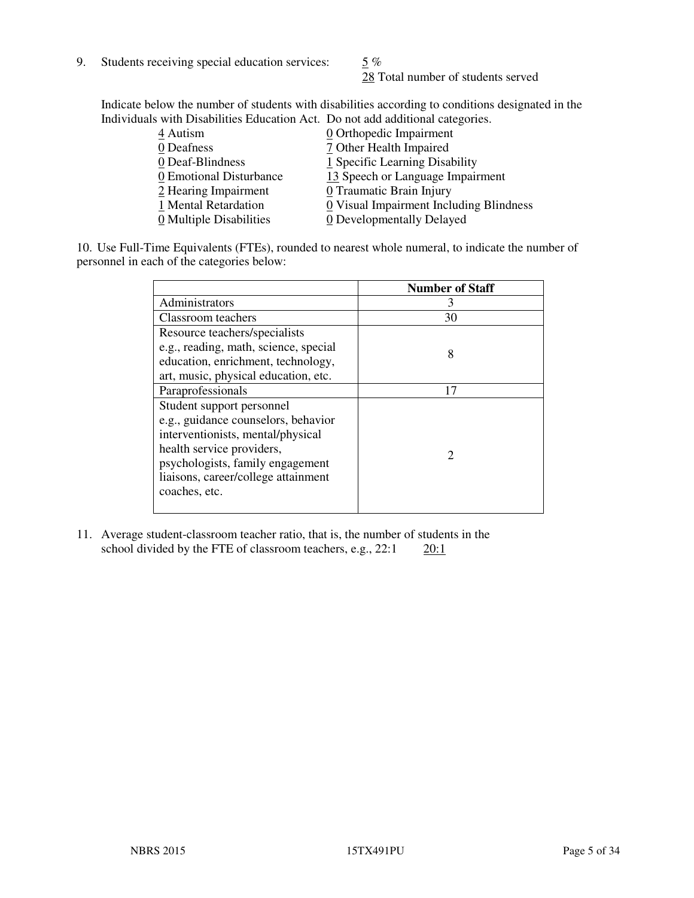9. Students receiving special education services:  $\frac{5}{9}$  %

28 Total number of students served

Indicate below the number of students with disabilities according to conditions designated in the Individuals with Disabilities Education Act. Do not add additional categories.

| 0 Orthopedic Impairment                                     |
|-------------------------------------------------------------|
| 7 Other Health Impaired                                     |
| 1 Specific Learning Disability                              |
| 13 Speech or Language Impairment<br>0 Emotional Disturbance |
| 0 Traumatic Brain Injury                                    |
| 0 Visual Impairment Including Blindness                     |
| 0 Developmentally Delayed                                   |
|                                                             |

10. Use Full-Time Equivalents (FTEs), rounded to nearest whole numeral, to indicate the number of personnel in each of the categories below:

|                                       | <b>Number of Staff</b>      |
|---------------------------------------|-----------------------------|
| Administrators                        | 3                           |
| Classroom teachers                    | 30                          |
| Resource teachers/specialists         |                             |
| e.g., reading, math, science, special | 8                           |
| education, enrichment, technology,    |                             |
| art, music, physical education, etc.  |                             |
| Paraprofessionals                     | 17                          |
| Student support personnel             |                             |
| e.g., guidance counselors, behavior   |                             |
| interventionists, mental/physical     |                             |
| health service providers,             | $\mathcal{D}_{\mathcal{L}}$ |
| psychologists, family engagement      |                             |
| liaisons, career/college attainment   |                             |
| coaches, etc.                         |                             |
|                                       |                             |

11. Average student-classroom teacher ratio, that is, the number of students in the school divided by the FTE of classroom teachers, e.g.,  $22:1$   $20:1$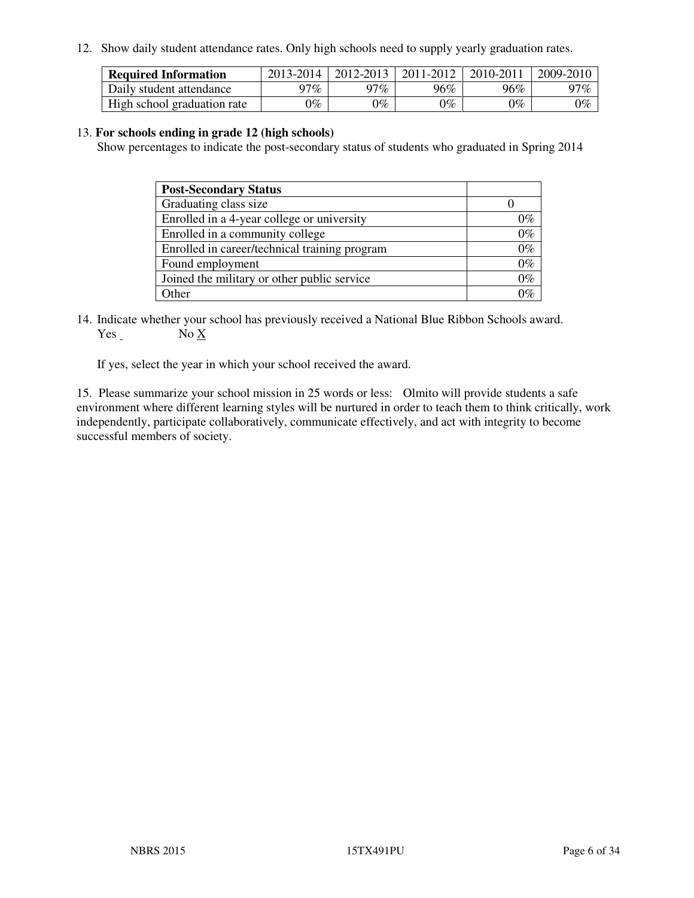12. Show daily student attendance rates. Only high schools need to supply yearly graduation rates.

| <b>Required Information</b> | 2013-2014     | 2012-2013       | 2011-2012 | 2010-2011 | 2009-2010 |
|-----------------------------|---------------|-----------------|-----------|-----------|-----------|
| Daily student attendance    | 97%           | 97%             | 96%       | 96%       | 97%       |
| High school graduation rate | $\gamma_{\%}$ | $\mathcal{V}_o$ | $0\%$     | 0%        | 0%        |

#### 13. **For schools ending in grade 12 (high schools)**

Show percentages to indicate the post-secondary status of students who graduated in Spring 2014

| <b>Post-Secondary Status</b>                  |       |
|-----------------------------------------------|-------|
| Graduating class size                         |       |
| Enrolled in a 4-year college or university    | በ‰    |
| Enrolled in a community college               | $0\%$ |
| Enrolled in career/technical training program | $0\%$ |
| Found employment                              | $0\%$ |
| Joined the military or other public service   | 0%    |
| Other                                         |       |

14. Indicate whether your school has previously received a National Blue Ribbon Schools award. Yes No X

If yes, select the year in which your school received the award.

15. Please summarize your school mission in 25 words or less: Olmito will provide students a safe environment where different learning styles will be nurtured in order to teach them to think critically, work independently, participate collaboratively, communicate effectively, and act with integrity to become successful members of society.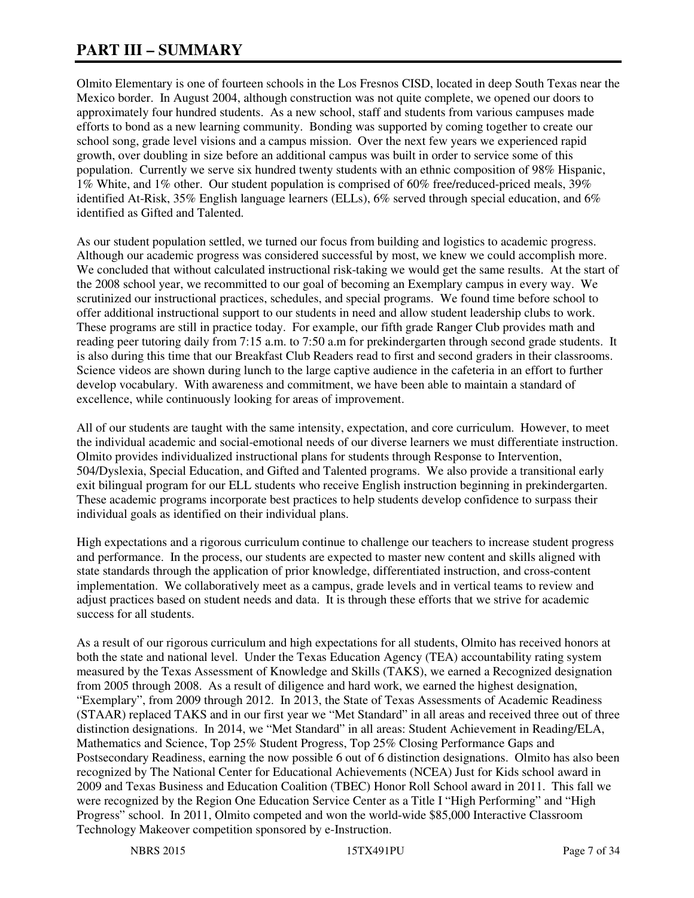# **PART III – SUMMARY**

Olmito Elementary is one of fourteen schools in the Los Fresnos CISD, located in deep South Texas near the Mexico border. In August 2004, although construction was not quite complete, we opened our doors to approximately four hundred students. As a new school, staff and students from various campuses made efforts to bond as a new learning community. Bonding was supported by coming together to create our school song, grade level visions and a campus mission. Over the next few years we experienced rapid growth, over doubling in size before an additional campus was built in order to service some of this population. Currently we serve six hundred twenty students with an ethnic composition of 98% Hispanic, 1% White, and 1% other. Our student population is comprised of 60% free/reduced-priced meals, 39% identified At-Risk, 35% English language learners (ELLs), 6% served through special education, and 6% identified as Gifted and Talented.

As our student population settled, we turned our focus from building and logistics to academic progress. Although our academic progress was considered successful by most, we knew we could accomplish more. We concluded that without calculated instructional risk-taking we would get the same results. At the start of the 2008 school year, we recommitted to our goal of becoming an Exemplary campus in every way. We scrutinized our instructional practices, schedules, and special programs. We found time before school to offer additional instructional support to our students in need and allow student leadership clubs to work. These programs are still in practice today. For example, our fifth grade Ranger Club provides math and reading peer tutoring daily from 7:15 a.m. to 7:50 a.m for prekindergarten through second grade students. It is also during this time that our Breakfast Club Readers read to first and second graders in their classrooms. Science videos are shown during lunch to the large captive audience in the cafeteria in an effort to further develop vocabulary. With awareness and commitment, we have been able to maintain a standard of excellence, while continuously looking for areas of improvement.

All of our students are taught with the same intensity, expectation, and core curriculum. However, to meet the individual academic and social-emotional needs of our diverse learners we must differentiate instruction. Olmito provides individualized instructional plans for students through Response to Intervention, 504/Dyslexia, Special Education, and Gifted and Talented programs. We also provide a transitional early exit bilingual program for our ELL students who receive English instruction beginning in prekindergarten. These academic programs incorporate best practices to help students develop confidence to surpass their individual goals as identified on their individual plans.

High expectations and a rigorous curriculum continue to challenge our teachers to increase student progress and performance. In the process, our students are expected to master new content and skills aligned with state standards through the application of prior knowledge, differentiated instruction, and cross-content implementation. We collaboratively meet as a campus, grade levels and in vertical teams to review and adjust practices based on student needs and data. It is through these efforts that we strive for academic success for all students.

As a result of our rigorous curriculum and high expectations for all students, Olmito has received honors at both the state and national level. Under the Texas Education Agency (TEA) accountability rating system measured by the Texas Assessment of Knowledge and Skills (TAKS), we earned a Recognized designation from 2005 through 2008. As a result of diligence and hard work, we earned the highest designation, "Exemplary", from 2009 through 2012. In 2013, the State of Texas Assessments of Academic Readiness (STAAR) replaced TAKS and in our first year we "Met Standard" in all areas and received three out of three distinction designations. In 2014, we "Met Standard" in all areas: Student Achievement in Reading/ELA, Mathematics and Science, Top 25% Student Progress, Top 25% Closing Performance Gaps and Postsecondary Readiness, earning the now possible 6 out of 6 distinction designations. Olmito has also been recognized by The National Center for Educational Achievements (NCEA) Just for Kids school award in 2009 and Texas Business and Education Coalition (TBEC) Honor Roll School award in 2011. This fall we were recognized by the Region One Education Service Center as a Title I "High Performing" and "High Progress" school. In 2011, Olmito competed and won the world-wide \$85,000 Interactive Classroom Technology Makeover competition sponsored by e-Instruction.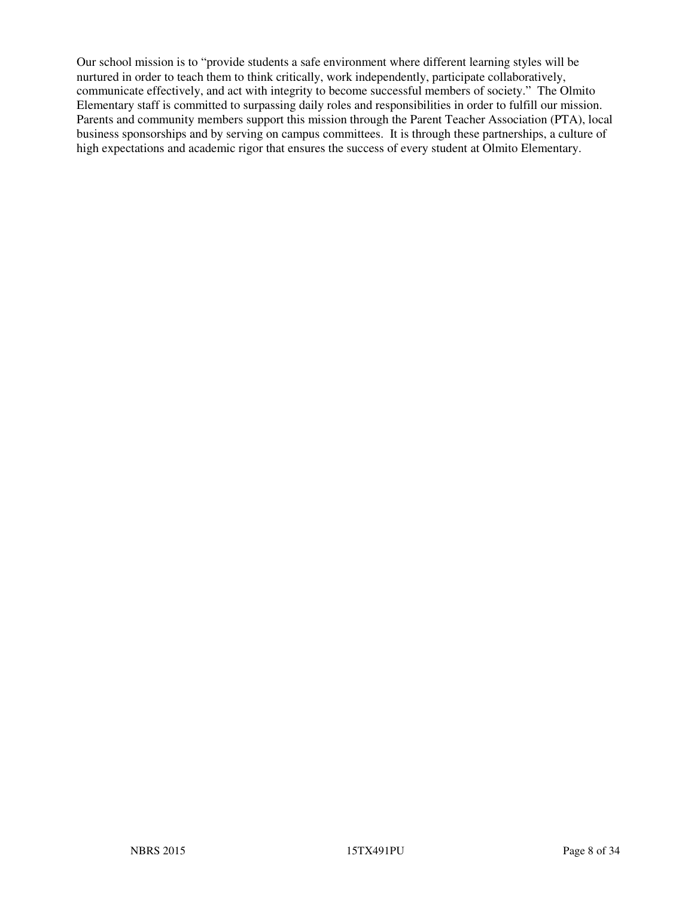Our school mission is to "provide students a safe environment where different learning styles will be nurtured in order to teach them to think critically, work independently, participate collaboratively, communicate effectively, and act with integrity to become successful members of society." The Olmito Elementary staff is committed to surpassing daily roles and responsibilities in order to fulfill our mission. Parents and community members support this mission through the Parent Teacher Association (PTA), local business sponsorships and by serving on campus committees. It is through these partnerships, a culture of high expectations and academic rigor that ensures the success of every student at Olmito Elementary.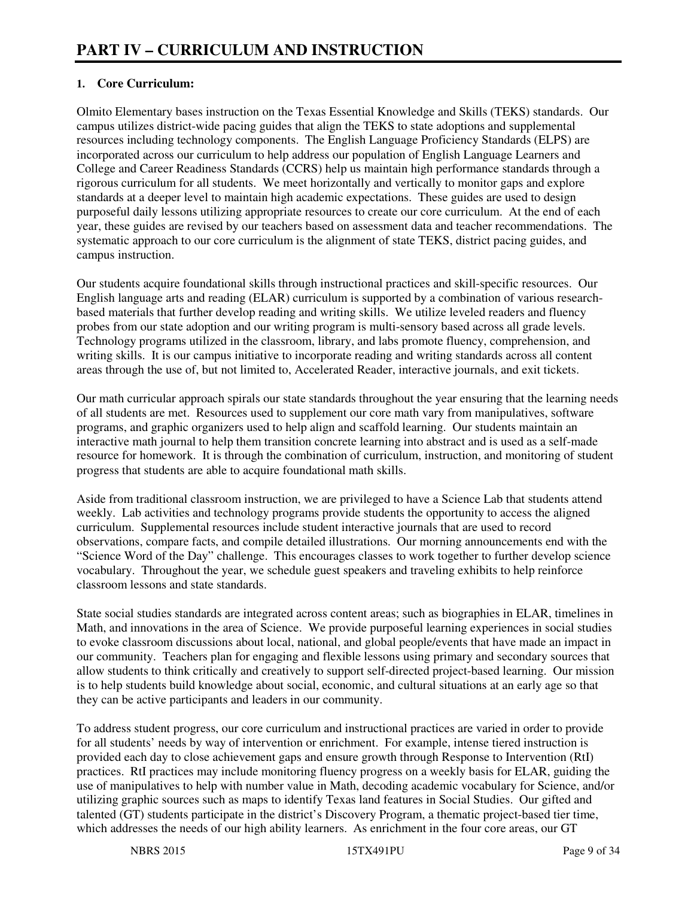# **1. Core Curriculum:**

Olmito Elementary bases instruction on the Texas Essential Knowledge and Skills (TEKS) standards. Our campus utilizes district-wide pacing guides that align the TEKS to state adoptions and supplemental resources including technology components. The English Language Proficiency Standards (ELPS) are incorporated across our curriculum to help address our population of English Language Learners and College and Career Readiness Standards (CCRS) help us maintain high performance standards through a rigorous curriculum for all students. We meet horizontally and vertically to monitor gaps and explore standards at a deeper level to maintain high academic expectations. These guides are used to design purposeful daily lessons utilizing appropriate resources to create our core curriculum. At the end of each year, these guides are revised by our teachers based on assessment data and teacher recommendations. The systematic approach to our core curriculum is the alignment of state TEKS, district pacing guides, and campus instruction.

Our students acquire foundational skills through instructional practices and skill-specific resources. Our English language arts and reading (ELAR) curriculum is supported by a combination of various researchbased materials that further develop reading and writing skills. We utilize leveled readers and fluency probes from our state adoption and our writing program is multi-sensory based across all grade levels. Technology programs utilized in the classroom, library, and labs promote fluency, comprehension, and writing skills. It is our campus initiative to incorporate reading and writing standards across all content areas through the use of, but not limited to, Accelerated Reader, interactive journals, and exit tickets.

Our math curricular approach spirals our state standards throughout the year ensuring that the learning needs of all students are met. Resources used to supplement our core math vary from manipulatives, software programs, and graphic organizers used to help align and scaffold learning. Our students maintain an interactive math journal to help them transition concrete learning into abstract and is used as a self-made resource for homework. It is through the combination of curriculum, instruction, and monitoring of student progress that students are able to acquire foundational math skills.

Aside from traditional classroom instruction, we are privileged to have a Science Lab that students attend weekly. Lab activities and technology programs provide students the opportunity to access the aligned curriculum. Supplemental resources include student interactive journals that are used to record observations, compare facts, and compile detailed illustrations. Our morning announcements end with the "Science Word of the Day" challenge. This encourages classes to work together to further develop science vocabulary. Throughout the year, we schedule guest speakers and traveling exhibits to help reinforce classroom lessons and state standards.

State social studies standards are integrated across content areas; such as biographies in ELAR, timelines in Math, and innovations in the area of Science. We provide purposeful learning experiences in social studies to evoke classroom discussions about local, national, and global people/events that have made an impact in our community. Teachers plan for engaging and flexible lessons using primary and secondary sources that allow students to think critically and creatively to support self-directed project-based learning. Our mission is to help students build knowledge about social, economic, and cultural situations at an early age so that they can be active participants and leaders in our community.

To address student progress, our core curriculum and instructional practices are varied in order to provide for all students' needs by way of intervention or enrichment. For example, intense tiered instruction is provided each day to close achievement gaps and ensure growth through Response to Intervention (RtI) practices. RtI practices may include monitoring fluency progress on a weekly basis for ELAR, guiding the use of manipulatives to help with number value in Math, decoding academic vocabulary for Science, and/or utilizing graphic sources such as maps to identify Texas land features in Social Studies. Our gifted and talented (GT) students participate in the district's Discovery Program, a thematic project-based tier time, which addresses the needs of our high ability learners. As enrichment in the four core areas, our GT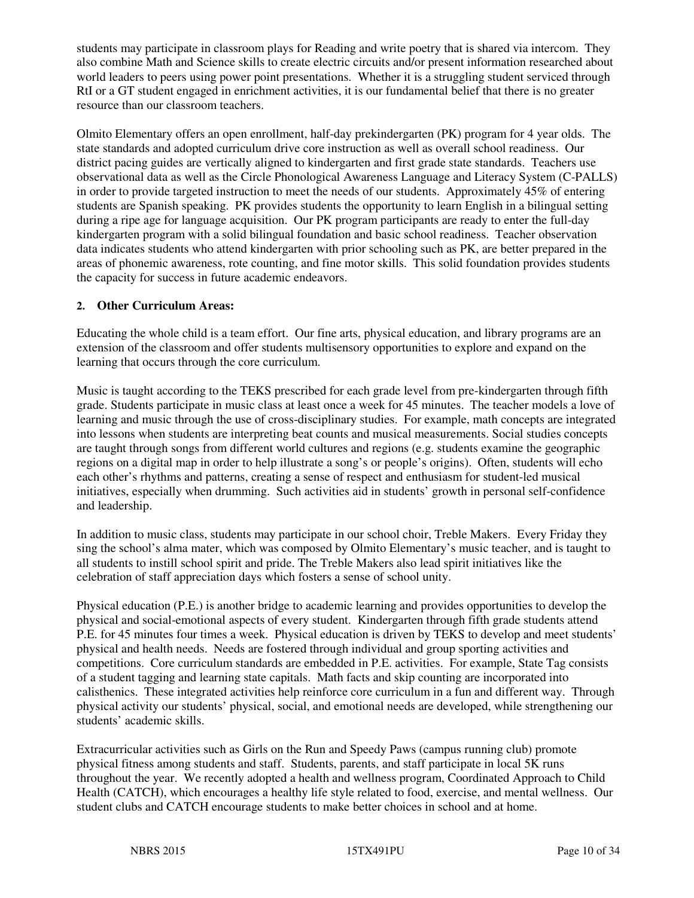students may participate in classroom plays for Reading and write poetry that is shared via intercom. They also combine Math and Science skills to create electric circuits and/or present information researched about world leaders to peers using power point presentations. Whether it is a struggling student serviced through RtI or a GT student engaged in enrichment activities, it is our fundamental belief that there is no greater resource than our classroom teachers.

Olmito Elementary offers an open enrollment, half-day prekindergarten (PK) program for 4 year olds. The state standards and adopted curriculum drive core instruction as well as overall school readiness. Our district pacing guides are vertically aligned to kindergarten and first grade state standards. Teachers use observational data as well as the Circle Phonological Awareness Language and Literacy System (C-PALLS) in order to provide targeted instruction to meet the needs of our students. Approximately 45% of entering students are Spanish speaking. PK provides students the opportunity to learn English in a bilingual setting during a ripe age for language acquisition. Our PK program participants are ready to enter the full-day kindergarten program with a solid bilingual foundation and basic school readiness. Teacher observation data indicates students who attend kindergarten with prior schooling such as PK, are better prepared in the areas of phonemic awareness, rote counting, and fine motor skills. This solid foundation provides students the capacity for success in future academic endeavors.

# **2. Other Curriculum Areas:**

Educating the whole child is a team effort. Our fine arts, physical education, and library programs are an extension of the classroom and offer students multisensory opportunities to explore and expand on the learning that occurs through the core curriculum.

Music is taught according to the TEKS prescribed for each grade level from pre-kindergarten through fifth grade. Students participate in music class at least once a week for 45 minutes. The teacher models a love of learning and music through the use of cross-disciplinary studies. For example, math concepts are integrated into lessons when students are interpreting beat counts and musical measurements. Social studies concepts are taught through songs from different world cultures and regions (e.g. students examine the geographic regions on a digital map in order to help illustrate a song's or people's origins). Often, students will echo each other's rhythms and patterns, creating a sense of respect and enthusiasm for student-led musical initiatives, especially when drumming. Such activities aid in students' growth in personal self-confidence and leadership.

In addition to music class, students may participate in our school choir, Treble Makers. Every Friday they sing the school's alma mater, which was composed by Olmito Elementary's music teacher, and is taught to all students to instill school spirit and pride. The Treble Makers also lead spirit initiatives like the celebration of staff appreciation days which fosters a sense of school unity.

Physical education (P.E.) is another bridge to academic learning and provides opportunities to develop the physical and social-emotional aspects of every student. Kindergarten through fifth grade students attend P.E. for 45 minutes four times a week. Physical education is driven by TEKS to develop and meet students' physical and health needs. Needs are fostered through individual and group sporting activities and competitions. Core curriculum standards are embedded in P.E. activities. For example, State Tag consists of a student tagging and learning state capitals. Math facts and skip counting are incorporated into calisthenics. These integrated activities help reinforce core curriculum in a fun and different way. Through physical activity our students' physical, social, and emotional needs are developed, while strengthening our students' academic skills.

Extracurricular activities such as Girls on the Run and Speedy Paws (campus running club) promote physical fitness among students and staff. Students, parents, and staff participate in local 5K runs throughout the year. We recently adopted a health and wellness program, Coordinated Approach to Child Health (CATCH), which encourages a healthy life style related to food, exercise, and mental wellness. Our student clubs and CATCH encourage students to make better choices in school and at home.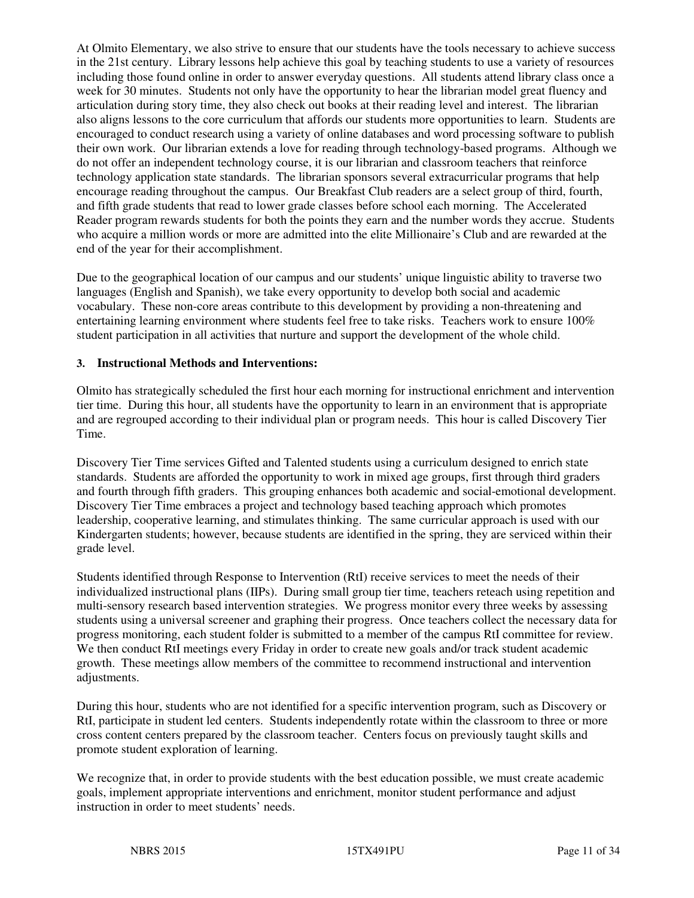At Olmito Elementary, we also strive to ensure that our students have the tools necessary to achieve success in the 21st century. Library lessons help achieve this goal by teaching students to use a variety of resources including those found online in order to answer everyday questions. All students attend library class once a week for 30 minutes. Students not only have the opportunity to hear the librarian model great fluency and articulation during story time, they also check out books at their reading level and interest. The librarian also aligns lessons to the core curriculum that affords our students more opportunities to learn. Students are encouraged to conduct research using a variety of online databases and word processing software to publish their own work. Our librarian extends a love for reading through technology-based programs. Although we do not offer an independent technology course, it is our librarian and classroom teachers that reinforce technology application state standards. The librarian sponsors several extracurricular programs that help encourage reading throughout the campus. Our Breakfast Club readers are a select group of third, fourth, and fifth grade students that read to lower grade classes before school each morning. The Accelerated Reader program rewards students for both the points they earn and the number words they accrue. Students who acquire a million words or more are admitted into the elite Millionaire's Club and are rewarded at the end of the year for their accomplishment.

Due to the geographical location of our campus and our students' unique linguistic ability to traverse two languages (English and Spanish), we take every opportunity to develop both social and academic vocabulary. These non-core areas contribute to this development by providing a non-threatening and entertaining learning environment where students feel free to take risks. Teachers work to ensure 100% student participation in all activities that nurture and support the development of the whole child.

#### **3. Instructional Methods and Interventions:**

Olmito has strategically scheduled the first hour each morning for instructional enrichment and intervention tier time. During this hour, all students have the opportunity to learn in an environment that is appropriate and are regrouped according to their individual plan or program needs. This hour is called Discovery Tier Time.

Discovery Tier Time services Gifted and Talented students using a curriculum designed to enrich state standards. Students are afforded the opportunity to work in mixed age groups, first through third graders and fourth through fifth graders. This grouping enhances both academic and social-emotional development. Discovery Tier Time embraces a project and technology based teaching approach which promotes leadership, cooperative learning, and stimulates thinking. The same curricular approach is used with our Kindergarten students; however, because students are identified in the spring, they are serviced within their grade level.

Students identified through Response to Intervention (RtI) receive services to meet the needs of their individualized instructional plans (IIPs). During small group tier time, teachers reteach using repetition and multi-sensory research based intervention strategies. We progress monitor every three weeks by assessing students using a universal screener and graphing their progress. Once teachers collect the necessary data for progress monitoring, each student folder is submitted to a member of the campus RtI committee for review. We then conduct RtI meetings every Friday in order to create new goals and/or track student academic growth. These meetings allow members of the committee to recommend instructional and intervention adjustments.

During this hour, students who are not identified for a specific intervention program, such as Discovery or RtI, participate in student led centers. Students independently rotate within the classroom to three or more cross content centers prepared by the classroom teacher. Centers focus on previously taught skills and promote student exploration of learning.

We recognize that, in order to provide students with the best education possible, we must create academic goals, implement appropriate interventions and enrichment, monitor student performance and adjust instruction in order to meet students' needs.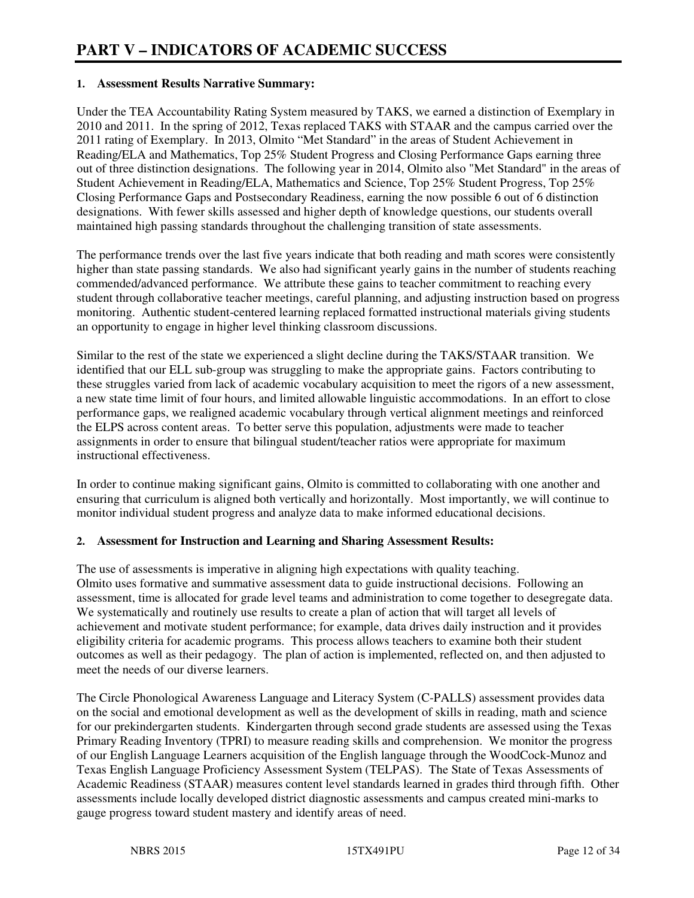#### **1. Assessment Results Narrative Summary:**

Under the TEA Accountability Rating System measured by TAKS, we earned a distinction of Exemplary in 2010 and 2011. In the spring of 2012, Texas replaced TAKS with STAAR and the campus carried over the 2011 rating of Exemplary. In 2013, Olmito "Met Standard" in the areas of Student Achievement in Reading/ELA and Mathematics, Top 25% Student Progress and Closing Performance Gaps earning three out of three distinction designations. The following year in 2014, Olmito also "Met Standard" in the areas of Student Achievement in Reading/ELA, Mathematics and Science, Top 25% Student Progress, Top 25% Closing Performance Gaps and Postsecondary Readiness, earning the now possible 6 out of 6 distinction designations. With fewer skills assessed and higher depth of knowledge questions, our students overall maintained high passing standards throughout the challenging transition of state assessments.

The performance trends over the last five years indicate that both reading and math scores were consistently higher than state passing standards. We also had significant yearly gains in the number of students reaching commended/advanced performance. We attribute these gains to teacher commitment to reaching every student through collaborative teacher meetings, careful planning, and adjusting instruction based on progress monitoring. Authentic student-centered learning replaced formatted instructional materials giving students an opportunity to engage in higher level thinking classroom discussions.

Similar to the rest of the state we experienced a slight decline during the TAKS/STAAR transition. We identified that our ELL sub-group was struggling to make the appropriate gains. Factors contributing to these struggles varied from lack of academic vocabulary acquisition to meet the rigors of a new assessment, a new state time limit of four hours, and limited allowable linguistic accommodations. In an effort to close performance gaps, we realigned academic vocabulary through vertical alignment meetings and reinforced the ELPS across content areas. To better serve this population, adjustments were made to teacher assignments in order to ensure that bilingual student/teacher ratios were appropriate for maximum instructional effectiveness.

In order to continue making significant gains, Olmito is committed to collaborating with one another and ensuring that curriculum is aligned both vertically and horizontally. Most importantly, we will continue to monitor individual student progress and analyze data to make informed educational decisions.

#### **2. Assessment for Instruction and Learning and Sharing Assessment Results:**

The use of assessments is imperative in aligning high expectations with quality teaching. Olmito uses formative and summative assessment data to guide instructional decisions. Following an assessment, time is allocated for grade level teams and administration to come together to desegregate data. We systematically and routinely use results to create a plan of action that will target all levels of achievement and motivate student performance; for example, data drives daily instruction and it provides eligibility criteria for academic programs. This process allows teachers to examine both their student outcomes as well as their pedagogy. The plan of action is implemented, reflected on, and then adjusted to meet the needs of our diverse learners.

The Circle Phonological Awareness Language and Literacy System (C-PALLS) assessment provides data on the social and emotional development as well as the development of skills in reading, math and science for our prekindergarten students. Kindergarten through second grade students are assessed using the Texas Primary Reading Inventory (TPRI) to measure reading skills and comprehension. We monitor the progress of our English Language Learners acquisition of the English language through the WoodCock-Munoz and Texas English Language Proficiency Assessment System (TELPAS). The State of Texas Assessments of Academic Readiness (STAAR) measures content level standards learned in grades third through fifth. Other assessments include locally developed district diagnostic assessments and campus created mini-marks to gauge progress toward student mastery and identify areas of need.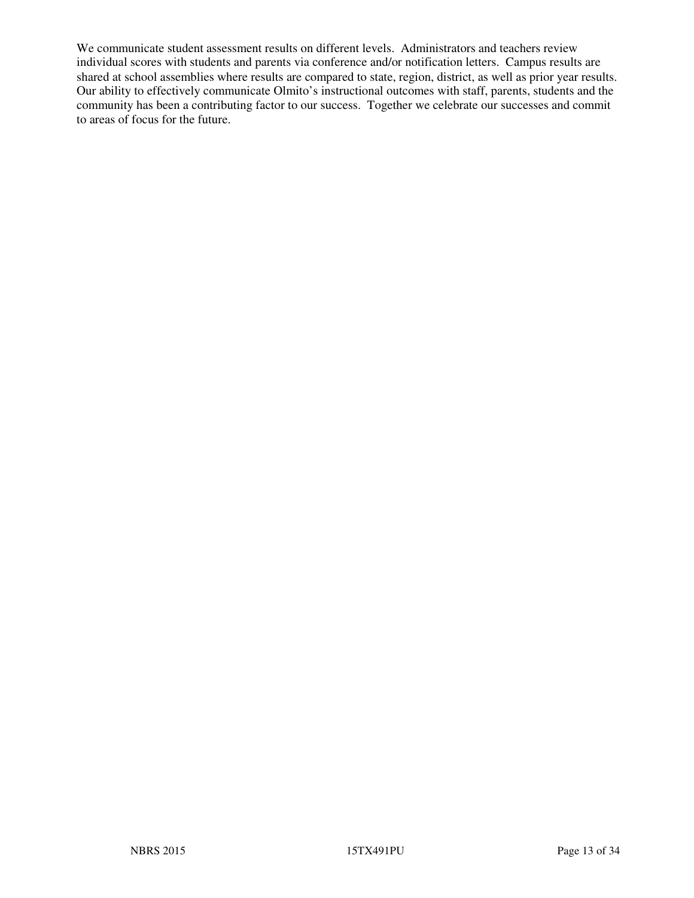We communicate student assessment results on different levels. Administrators and teachers review individual scores with students and parents via conference and/or notification letters. Campus results are shared at school assemblies where results are compared to state, region, district, as well as prior year results. Our ability to effectively communicate Olmito's instructional outcomes with staff, parents, students and the community has been a contributing factor to our success. Together we celebrate our successes and commit to areas of focus for the future.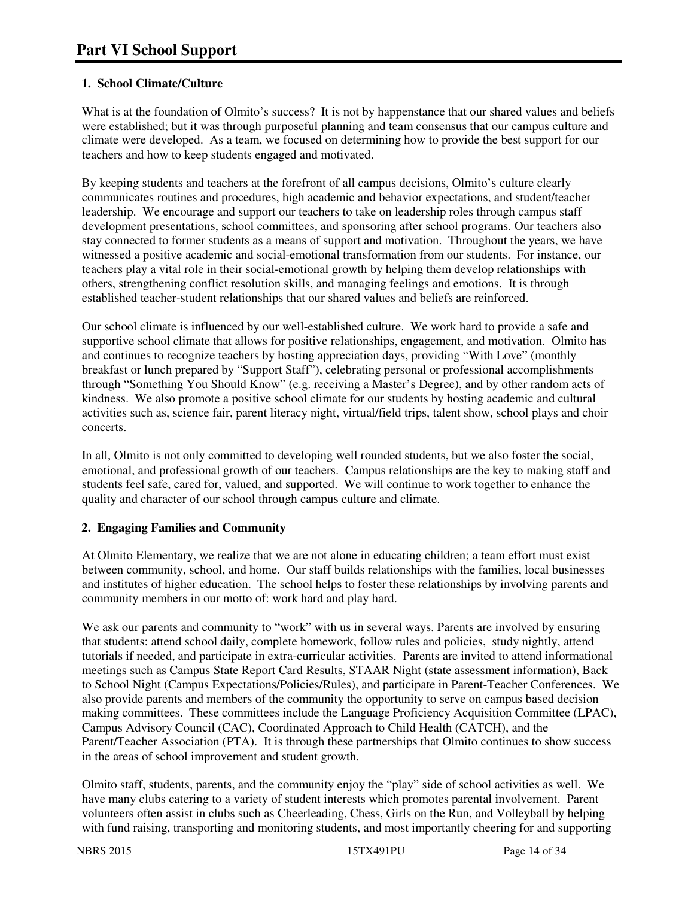# **1. School Climate/Culture**

What is at the foundation of Olmito's success? It is not by happenstance that our shared values and beliefs were established; but it was through purposeful planning and team consensus that our campus culture and climate were developed. As a team, we focused on determining how to provide the best support for our teachers and how to keep students engaged and motivated.

By keeping students and teachers at the forefront of all campus decisions, Olmito's culture clearly communicates routines and procedures, high academic and behavior expectations, and student/teacher leadership. We encourage and support our teachers to take on leadership roles through campus staff development presentations, school committees, and sponsoring after school programs. Our teachers also stay connected to former students as a means of support and motivation. Throughout the years, we have witnessed a positive academic and social-emotional transformation from our students. For instance, our teachers play a vital role in their social-emotional growth by helping them develop relationships with others, strengthening conflict resolution skills, and managing feelings and emotions. It is through established teacher-student relationships that our shared values and beliefs are reinforced.

Our school climate is influenced by our well-established culture. We work hard to provide a safe and supportive school climate that allows for positive relationships, engagement, and motivation. Olmito has and continues to recognize teachers by hosting appreciation days, providing "With Love" (monthly breakfast or lunch prepared by "Support Staff"), celebrating personal or professional accomplishments through "Something You Should Know" (e.g. receiving a Master's Degree), and by other random acts of kindness. We also promote a positive school climate for our students by hosting academic and cultural activities such as, science fair, parent literacy night, virtual/field trips, talent show, school plays and choir concerts.

In all, Olmito is not only committed to developing well rounded students, but we also foster the social, emotional, and professional growth of our teachers. Campus relationships are the key to making staff and students feel safe, cared for, valued, and supported. We will continue to work together to enhance the quality and character of our school through campus culture and climate.

# **2. Engaging Families and Community**

At Olmito Elementary, we realize that we are not alone in educating children; a team effort must exist between community, school, and home. Our staff builds relationships with the families, local businesses and institutes of higher education. The school helps to foster these relationships by involving parents and community members in our motto of: work hard and play hard.

We ask our parents and community to "work" with us in several ways. Parents are involved by ensuring that students: attend school daily, complete homework, follow rules and policies, study nightly, attend tutorials if needed, and participate in extra-curricular activities. Parents are invited to attend informational meetings such as Campus State Report Card Results, STAAR Night (state assessment information), Back to School Night (Campus Expectations/Policies/Rules), and participate in Parent-Teacher Conferences. We also provide parents and members of the community the opportunity to serve on campus based decision making committees. These committees include the Language Proficiency Acquisition Committee (LPAC), Campus Advisory Council (CAC), Coordinated Approach to Child Health (CATCH), and the Parent/Teacher Association (PTA). It is through these partnerships that Olmito continues to show success in the areas of school improvement and student growth.

Olmito staff, students, parents, and the community enjoy the "play" side of school activities as well. We have many clubs catering to a variety of student interests which promotes parental involvement. Parent volunteers often assist in clubs such as Cheerleading, Chess, Girls on the Run, and Volleyball by helping with fund raising, transporting and monitoring students, and most importantly cheering for and supporting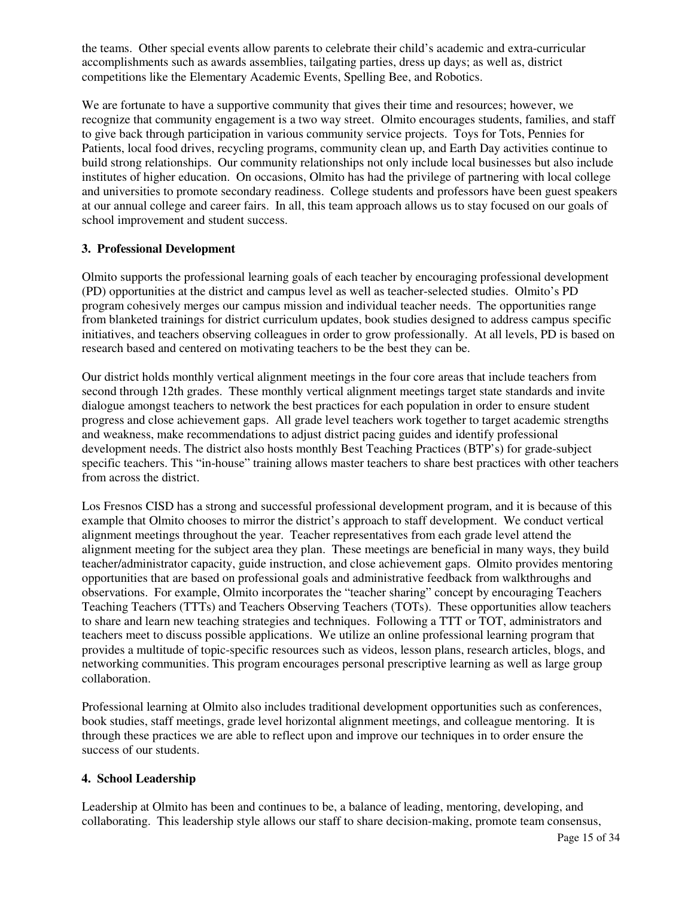the teams. Other special events allow parents to celebrate their child's academic and extra-curricular accomplishments such as awards assemblies, tailgating parties, dress up days; as well as, district competitions like the Elementary Academic Events, Spelling Bee, and Robotics.

We are fortunate to have a supportive community that gives their time and resources; however, we recognize that community engagement is a two way street. Olmito encourages students, families, and staff to give back through participation in various community service projects. Toys for Tots, Pennies for Patients, local food drives, recycling programs, community clean up, and Earth Day activities continue to build strong relationships. Our community relationships not only include local businesses but also include institutes of higher education. On occasions, Olmito has had the privilege of partnering with local college and universities to promote secondary readiness. College students and professors have been guest speakers at our annual college and career fairs. In all, this team approach allows us to stay focused on our goals of school improvement and student success.

#### **3. Professional Development**

Olmito supports the professional learning goals of each teacher by encouraging professional development (PD) opportunities at the district and campus level as well as teacher-selected studies. Olmito's PD program cohesively merges our campus mission and individual teacher needs. The opportunities range from blanketed trainings for district curriculum updates, book studies designed to address campus specific initiatives, and teachers observing colleagues in order to grow professionally. At all levels, PD is based on research based and centered on motivating teachers to be the best they can be.

Our district holds monthly vertical alignment meetings in the four core areas that include teachers from second through 12th grades. These monthly vertical alignment meetings target state standards and invite dialogue amongst teachers to network the best practices for each population in order to ensure student progress and close achievement gaps. All grade level teachers work together to target academic strengths and weakness, make recommendations to adjust district pacing guides and identify professional development needs. The district also hosts monthly Best Teaching Practices (BTP's) for grade-subject specific teachers. This "in-house" training allows master teachers to share best practices with other teachers from across the district.

Los Fresnos CISD has a strong and successful professional development program, and it is because of this example that Olmito chooses to mirror the district's approach to staff development. We conduct vertical alignment meetings throughout the year. Teacher representatives from each grade level attend the alignment meeting for the subject area they plan. These meetings are beneficial in many ways, they build teacher/administrator capacity, guide instruction, and close achievement gaps. Olmito provides mentoring opportunities that are based on professional goals and administrative feedback from walkthroughs and observations. For example, Olmito incorporates the "teacher sharing" concept by encouraging Teachers Teaching Teachers (TTTs) and Teachers Observing Teachers (TOTs). These opportunities allow teachers to share and learn new teaching strategies and techniques. Following a TTT or TOT, administrators and teachers meet to discuss possible applications. We utilize an online professional learning program that provides a multitude of topic-specific resources such as videos, lesson plans, research articles, blogs, and networking communities. This program encourages personal prescriptive learning as well as large group collaboration.

Professional learning at Olmito also includes traditional development opportunities such as conferences, book studies, staff meetings, grade level horizontal alignment meetings, and colleague mentoring. It is through these practices we are able to reflect upon and improve our techniques in to order ensure the success of our students.

# **4. School Leadership**

Leadership at Olmito has been and continues to be, a balance of leading, mentoring, developing, and collaborating. This leadership style allows our staff to share decision-making, promote team consensus,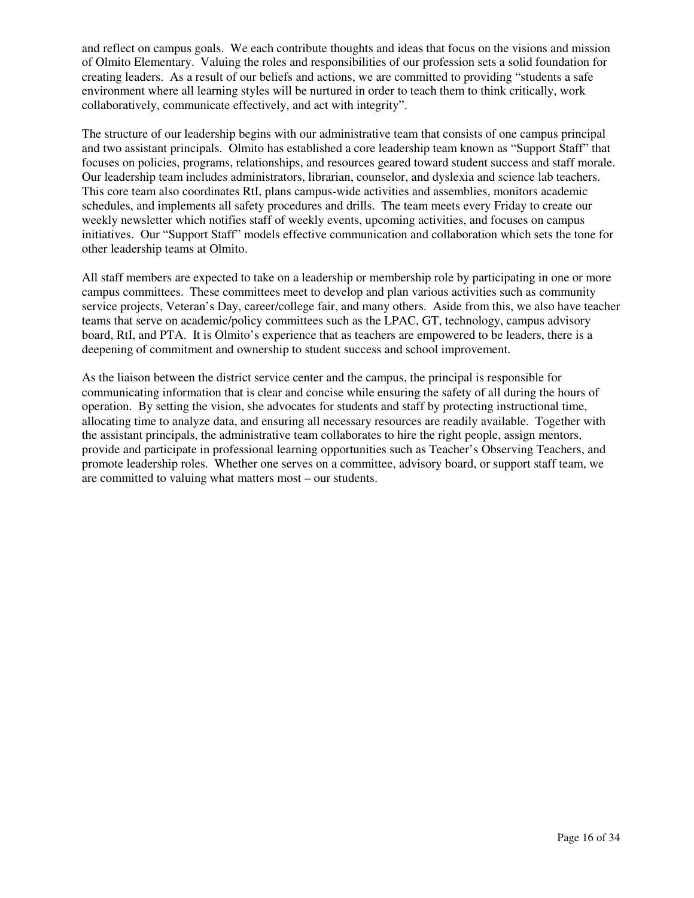and reflect on campus goals. We each contribute thoughts and ideas that focus on the visions and mission of Olmito Elementary. Valuing the roles and responsibilities of our profession sets a solid foundation for creating leaders. As a result of our beliefs and actions, we are committed to providing "students a safe environment where all learning styles will be nurtured in order to teach them to think critically, work collaboratively, communicate effectively, and act with integrity".

The structure of our leadership begins with our administrative team that consists of one campus principal and two assistant principals. Olmito has established a core leadership team known as "Support Staff" that focuses on policies, programs, relationships, and resources geared toward student success and staff morale. Our leadership team includes administrators, librarian, counselor, and dyslexia and science lab teachers. This core team also coordinates RtI, plans campus-wide activities and assemblies, monitors academic schedules, and implements all safety procedures and drills. The team meets every Friday to create our weekly newsletter which notifies staff of weekly events, upcoming activities, and focuses on campus initiatives. Our "Support Staff" models effective communication and collaboration which sets the tone for other leadership teams at Olmito.

All staff members are expected to take on a leadership or membership role by participating in one or more campus committees. These committees meet to develop and plan various activities such as community service projects, Veteran's Day, career/college fair, and many others. Aside from this, we also have teacher teams that serve on academic/policy committees such as the LPAC, GT, technology, campus advisory board, RtI, and PTA. It is Olmito's experience that as teachers are empowered to be leaders, there is a deepening of commitment and ownership to student success and school improvement.

As the liaison between the district service center and the campus, the principal is responsible for communicating information that is clear and concise while ensuring the safety of all during the hours of operation. By setting the vision, she advocates for students and staff by protecting instructional time, allocating time to analyze data, and ensuring all necessary resources are readily available. Together with the assistant principals, the administrative team collaborates to hire the right people, assign mentors, provide and participate in professional learning opportunities such as Teacher's Observing Teachers, and promote leadership roles. Whether one serves on a committee, advisory board, or support staff team, we are committed to valuing what matters most – our students.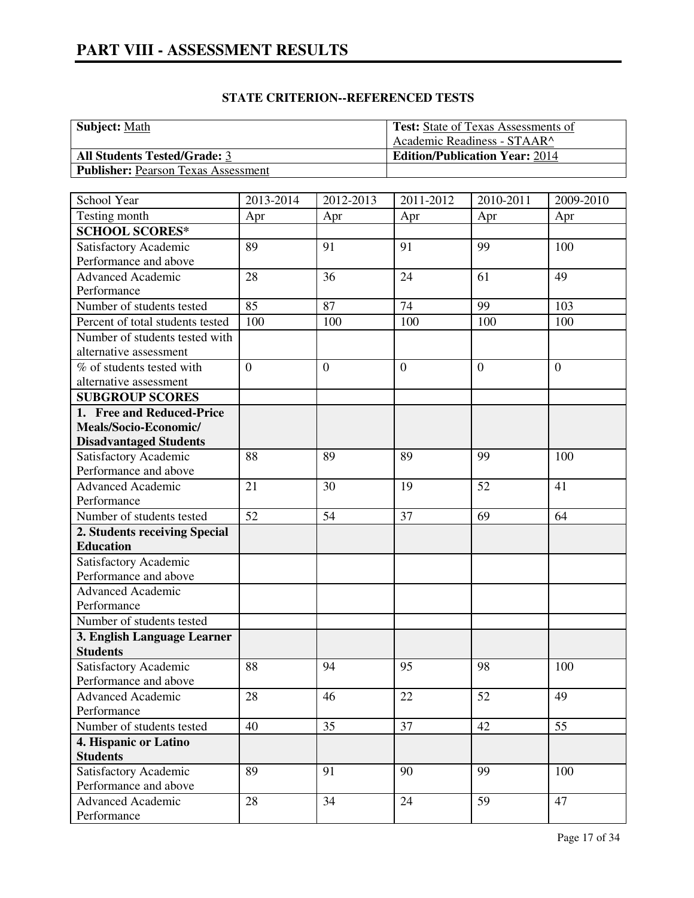| <b>Subject:</b> Math                       | <b>Test:</b> State of Texas Assessments of |
|--------------------------------------------|--------------------------------------------|
|                                            | Academic Readiness - STAAR^                |
| <b>All Students Tested/Grade: 3</b>        | <b>Edition/Publication Year: 2014</b>      |
| <b>Publisher:</b> Pearson Texas Assessment |                                            |

| School Year                      | 2013-2014      | 2012-2013        | 2011-2012      | 2010-2011      | 2009-2010      |
|----------------------------------|----------------|------------------|----------------|----------------|----------------|
| Testing month                    | Apr            | Apr              | Apr            | Apr            | Apr            |
| <b>SCHOOL SCORES*</b>            |                |                  |                |                |                |
| Satisfactory Academic            | 89             | 91               | 91             | 99             | 100            |
| Performance and above            |                |                  |                |                |                |
| <b>Advanced Academic</b>         | 28             | 36               | 24             | 61             | 49             |
| Performance                      |                |                  |                |                |                |
| Number of students tested        | 85             | 87               | 74             | 99             | 103            |
| Percent of total students tested | 100            | 100              | 100            | 100            | 100            |
| Number of students tested with   |                |                  |                |                |                |
| alternative assessment           |                |                  |                |                |                |
| % of students tested with        | $\overline{0}$ | $\boldsymbol{0}$ | $\overline{0}$ | $\overline{0}$ | $\overline{0}$ |
| alternative assessment           |                |                  |                |                |                |
| <b>SUBGROUP SCORES</b>           |                |                  |                |                |                |
| 1. Free and Reduced-Price        |                |                  |                |                |                |
| Meals/Socio-Economic/            |                |                  |                |                |                |
| <b>Disadvantaged Students</b>    |                |                  |                |                |                |
| Satisfactory Academic            | 88             | 89               | 89             | 99             | 100            |
| Performance and above            |                |                  |                |                |                |
| <b>Advanced Academic</b>         | 21             | 30               | 19             | 52             | 41             |
| Performance                      |                |                  |                |                |                |
| Number of students tested        | 52             | 54               | 37             | 69             | 64             |
| 2. Students receiving Special    |                |                  |                |                |                |
| <b>Education</b>                 |                |                  |                |                |                |
| Satisfactory Academic            |                |                  |                |                |                |
| Performance and above            |                |                  |                |                |                |
| <b>Advanced Academic</b>         |                |                  |                |                |                |
| Performance                      |                |                  |                |                |                |
| Number of students tested        |                |                  |                |                |                |
| 3. English Language Learner      |                |                  |                |                |                |
| <b>Students</b>                  |                |                  |                |                |                |
| Satisfactory Academic            | 88             | 94               | 95             | 98             | 100            |
| Performance and above            |                |                  |                |                |                |
| <b>Advanced Academic</b>         | 28             | 46               | 22             | 52             | 49             |
| Performance                      |                |                  |                |                |                |
| Number of students tested        | 40             | 35               | 37             | 42             | 55             |
| 4. Hispanic or Latino            |                |                  |                |                |                |
| <b>Students</b>                  |                |                  |                |                |                |
| Satisfactory Academic            | 89             | 91               | 90             | 99             | 100            |
| Performance and above            |                |                  |                |                |                |
| <b>Advanced Academic</b>         | 28             | 34               | 24             | 59             | 47             |
| Performance                      |                |                  |                |                |                |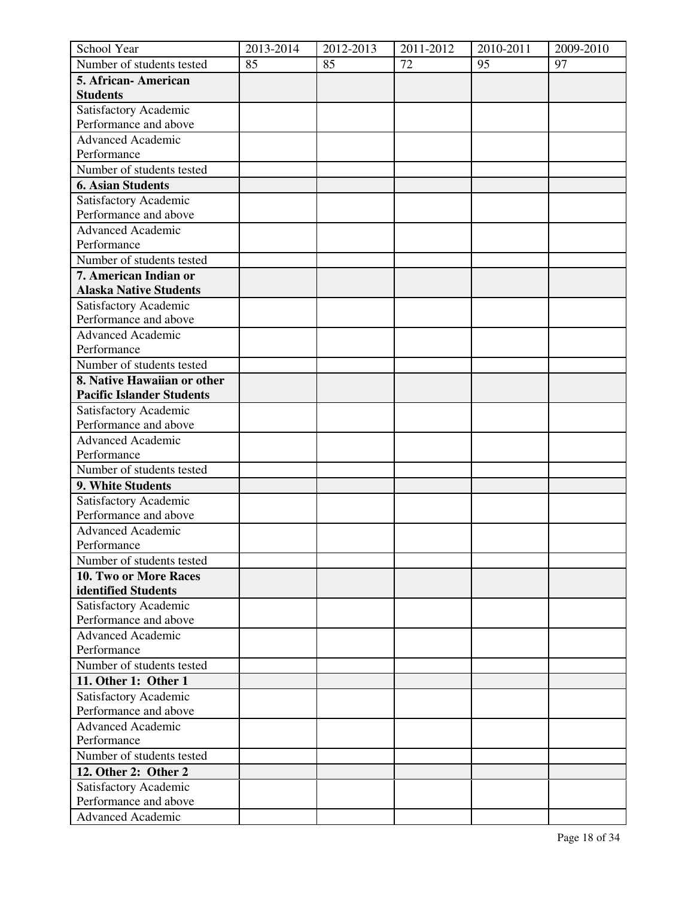| School Year                      | 2013-2014 | 2012-2013 | 2011-2012 | 2010-2011 | 2009-2010 |
|----------------------------------|-----------|-----------|-----------|-----------|-----------|
| Number of students tested        | 85        | 85        | 72        | 95        | 97        |
| 5. African-American              |           |           |           |           |           |
| <b>Students</b>                  |           |           |           |           |           |
| Satisfactory Academic            |           |           |           |           |           |
| Performance and above            |           |           |           |           |           |
| <b>Advanced Academic</b>         |           |           |           |           |           |
| Performance                      |           |           |           |           |           |
| Number of students tested        |           |           |           |           |           |
| <b>6. Asian Students</b>         |           |           |           |           |           |
| Satisfactory Academic            |           |           |           |           |           |
| Performance and above            |           |           |           |           |           |
| <b>Advanced Academic</b>         |           |           |           |           |           |
| Performance                      |           |           |           |           |           |
| Number of students tested        |           |           |           |           |           |
| 7. American Indian or            |           |           |           |           |           |
| <b>Alaska Native Students</b>    |           |           |           |           |           |
| Satisfactory Academic            |           |           |           |           |           |
| Performance and above            |           |           |           |           |           |
| Advanced Academic                |           |           |           |           |           |
| Performance                      |           |           |           |           |           |
| Number of students tested        |           |           |           |           |           |
| 8. Native Hawaiian or other      |           |           |           |           |           |
| <b>Pacific Islander Students</b> |           |           |           |           |           |
| Satisfactory Academic            |           |           |           |           |           |
| Performance and above            |           |           |           |           |           |
| <b>Advanced Academic</b>         |           |           |           |           |           |
| Performance                      |           |           |           |           |           |
| Number of students tested        |           |           |           |           |           |
| 9. White Students                |           |           |           |           |           |
| Satisfactory Academic            |           |           |           |           |           |
| Performance and above            |           |           |           |           |           |
| Advanced Academic                |           |           |           |           |           |
| Performance                      |           |           |           |           |           |
| Number of students tested        |           |           |           |           |           |
| 10. Two or More Races            |           |           |           |           |           |
| identified Students              |           |           |           |           |           |
| Satisfactory Academic            |           |           |           |           |           |
| Performance and above            |           |           |           |           |           |
| <b>Advanced Academic</b>         |           |           |           |           |           |
| Performance                      |           |           |           |           |           |
| Number of students tested        |           |           |           |           |           |
| 11. Other 1: Other 1             |           |           |           |           |           |
| Satisfactory Academic            |           |           |           |           |           |
| Performance and above            |           |           |           |           |           |
| <b>Advanced Academic</b>         |           |           |           |           |           |
| Performance                      |           |           |           |           |           |
| Number of students tested        |           |           |           |           |           |
| 12. Other 2: Other 2             |           |           |           |           |           |
| Satisfactory Academic            |           |           |           |           |           |
| Performance and above            |           |           |           |           |           |
| <b>Advanced Academic</b>         |           |           |           |           |           |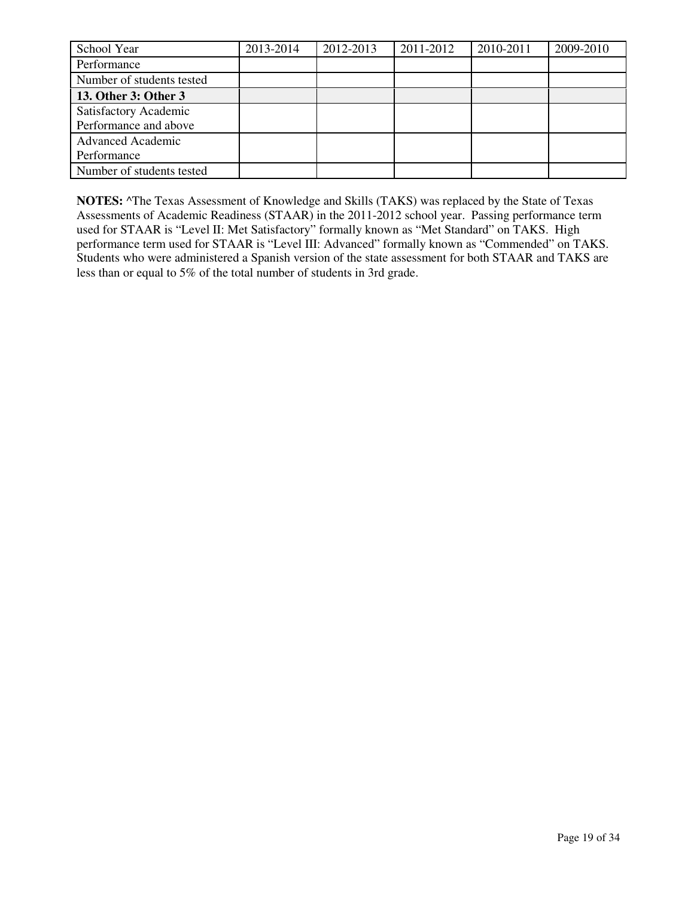| School Year               | 2013-2014 | 2012-2013 | 2011-2012 | 2010-2011 | 2009-2010 |
|---------------------------|-----------|-----------|-----------|-----------|-----------|
| Performance               |           |           |           |           |           |
| Number of students tested |           |           |           |           |           |
| 13. Other 3: Other 3      |           |           |           |           |           |
| Satisfactory Academic     |           |           |           |           |           |
| Performance and above     |           |           |           |           |           |
| <b>Advanced Academic</b>  |           |           |           |           |           |
| Performance               |           |           |           |           |           |
| Number of students tested |           |           |           |           |           |

**NOTES:** ^The Texas Assessment of Knowledge and Skills (TAKS) was replaced by the State of Texas Assessments of Academic Readiness (STAAR) in the 2011-2012 school year. Passing performance term used for STAAR is "Level II: Met Satisfactory" formally known as "Met Standard" on TAKS. High performance term used for STAAR is "Level III: Advanced" formally known as "Commended" on TAKS. Students who were administered a Spanish version of the state assessment for both STAAR and TAKS are less than or equal to 5% of the total number of students in 3rd grade.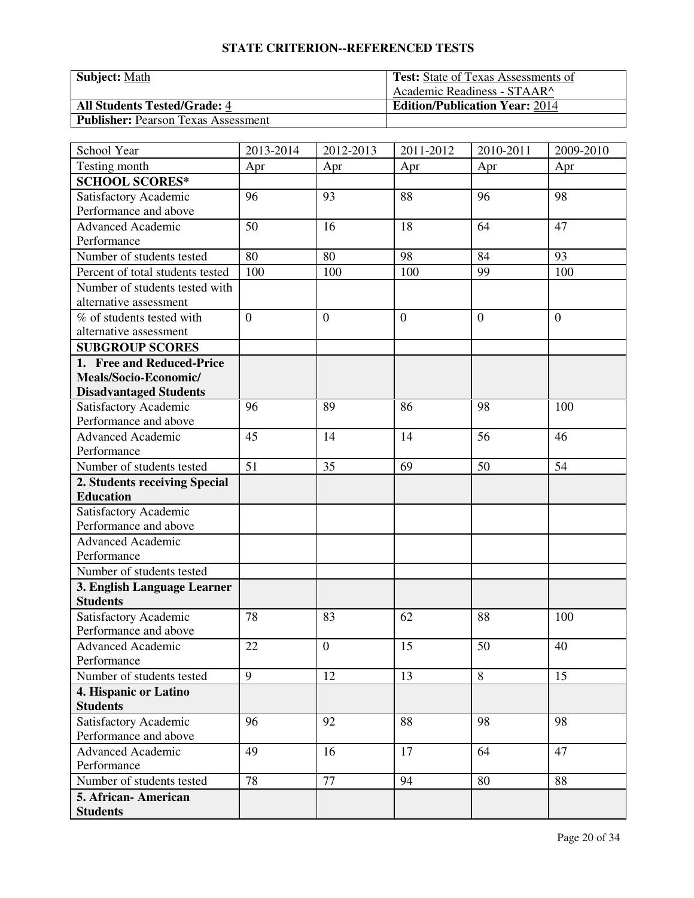| <b>Subject: Math</b>                       | <b>Test:</b> State of Texas Assessments of |
|--------------------------------------------|--------------------------------------------|
|                                            | Academic Readiness - STAAR^                |
| <b>All Students Tested/Grade: 4</b>        | <b>Edition/Publication Year: 2014</b>      |
| <b>Publisher: Pearson Texas Assessment</b> |                                            |

| School Year                             | 2013-2014      | 2012-2013      | 2011-2012      | 2010-2011 | 2009-2010      |
|-----------------------------------------|----------------|----------------|----------------|-----------|----------------|
| Testing month                           | Apr            | Apr            | Apr            | Apr       | Apr            |
| <b>SCHOOL SCORES*</b>                   |                |                |                |           |                |
| Satisfactory Academic                   | 96             | 93             | 88             | 96        | 98             |
| Performance and above                   |                |                |                |           |                |
| <b>Advanced Academic</b>                | 50             | 16             | 18             | 64        | 47             |
| Performance                             |                |                |                |           |                |
| Number of students tested               | 80             | 80             | 98             | 84        | 93             |
| Percent of total students tested        | 100            | 100            | 100            | 99        | 100            |
| Number of students tested with          |                |                |                |           |                |
| alternative assessment                  |                |                |                |           |                |
| $\overline{\%}$ of students tested with | $\overline{0}$ | $\overline{0}$ | $\overline{0}$ | $\theta$  | $\overline{0}$ |
| alternative assessment                  |                |                |                |           |                |
| <b>SUBGROUP SCORES</b>                  |                |                |                |           |                |
| 1. Free and Reduced-Price               |                |                |                |           |                |
| Meals/Socio-Economic/                   |                |                |                |           |                |
| <b>Disadvantaged Students</b>           |                |                |                |           |                |
| Satisfactory Academic                   | 96             | 89             | 86             | 98        | 100            |
| Performance and above                   |                |                |                |           |                |
| Advanced Academic                       | 45             | 14             | 14             | 56        | 46             |
| Performance                             |                |                |                |           |                |
| Number of students tested               | 51             | 35             | 69             | 50        | 54             |
| 2. Students receiving Special           |                |                |                |           |                |
| <b>Education</b>                        |                |                |                |           |                |
| Satisfactory Academic                   |                |                |                |           |                |
| Performance and above                   |                |                |                |           |                |
| <b>Advanced Academic</b>                |                |                |                |           |                |
| Performance                             |                |                |                |           |                |
| Number of students tested               |                |                |                |           |                |
| 3. English Language Learner             |                |                |                |           |                |
| <b>Students</b>                         |                |                |                |           |                |
| Satisfactory Academic                   | 78             | 83             | 62             | 88        | 100            |
| Performance and above                   |                |                |                |           |                |
| <b>Advanced Academic</b>                | 22             | $\mathbf{0}$   | 15             | 50        | 40             |
| Performance                             |                |                |                |           |                |
| Number of students tested               | 9              | 12             | 13             | 8         | 15             |
| 4. Hispanic or Latino                   |                |                |                |           |                |
| <b>Students</b>                         |                |                |                |           |                |
| Satisfactory Academic                   | 96             | 92             | 88             | 98        | 98             |
| Performance and above                   |                |                |                |           |                |
| <b>Advanced Academic</b>                | 49             | 16             | 17             | 64        | 47             |
| Performance                             |                |                |                |           |                |
| Number of students tested               | 78             | 77             | 94             | 80        | 88             |
| 5. African- American                    |                |                |                |           |                |
| <b>Students</b>                         |                |                |                |           |                |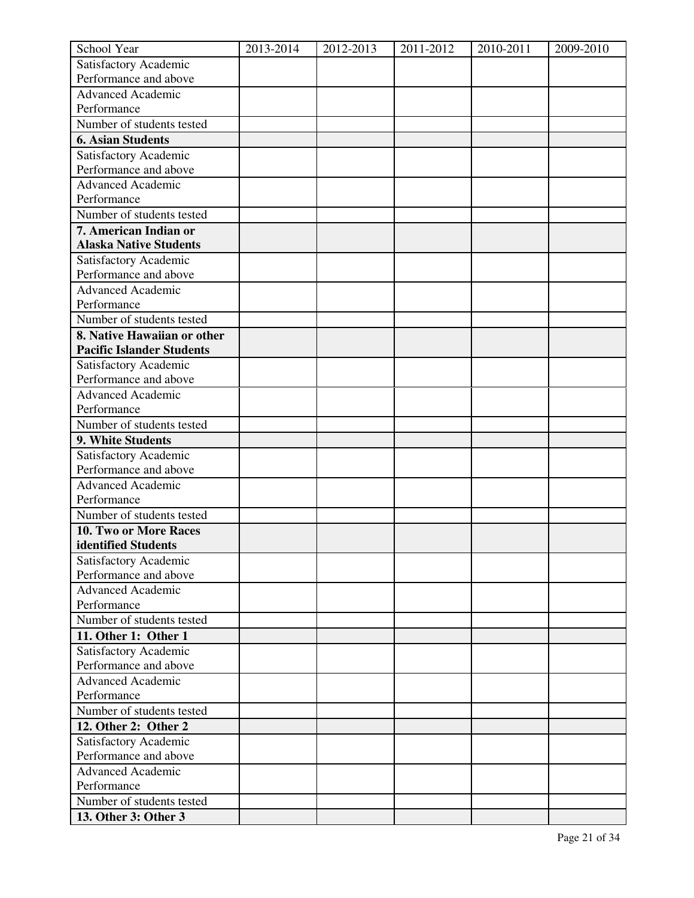| School Year                                    | 2013-2014 | 2012-2013 | 2011-2012 | 2010-2011 | 2009-2010 |
|------------------------------------------------|-----------|-----------|-----------|-----------|-----------|
| Satisfactory Academic                          |           |           |           |           |           |
| Performance and above                          |           |           |           |           |           |
| <b>Advanced Academic</b>                       |           |           |           |           |           |
| Performance                                    |           |           |           |           |           |
| Number of students tested                      |           |           |           |           |           |
| <b>6. Asian Students</b>                       |           |           |           |           |           |
| Satisfactory Academic                          |           |           |           |           |           |
| Performance and above                          |           |           |           |           |           |
| <b>Advanced Academic</b>                       |           |           |           |           |           |
| Performance                                    |           |           |           |           |           |
| Number of students tested                      |           |           |           |           |           |
| 7. American Indian or                          |           |           |           |           |           |
| <b>Alaska Native Students</b>                  |           |           |           |           |           |
| Satisfactory Academic                          |           |           |           |           |           |
| Performance and above                          |           |           |           |           |           |
| <b>Advanced Academic</b>                       |           |           |           |           |           |
| Performance                                    |           |           |           |           |           |
| Number of students tested                      |           |           |           |           |           |
| 8. Native Hawaiian or other                    |           |           |           |           |           |
| <b>Pacific Islander Students</b>               |           |           |           |           |           |
| Satisfactory Academic<br>Performance and above |           |           |           |           |           |
| <b>Advanced Academic</b>                       |           |           |           |           |           |
| Performance                                    |           |           |           |           |           |
| Number of students tested                      |           |           |           |           |           |
| 9. White Students                              |           |           |           |           |           |
| Satisfactory Academic                          |           |           |           |           |           |
| Performance and above                          |           |           |           |           |           |
| <b>Advanced Academic</b>                       |           |           |           |           |           |
| Performance                                    |           |           |           |           |           |
| Number of students tested                      |           |           |           |           |           |
| 10. Two or More Races                          |           |           |           |           |           |
| identified Students                            |           |           |           |           |           |
| Satisfactory Academic                          |           |           |           |           |           |
| Performance and above                          |           |           |           |           |           |
| <b>Advanced Academic</b>                       |           |           |           |           |           |
| Performance                                    |           |           |           |           |           |
| Number of students tested                      |           |           |           |           |           |
| 11. Other 1: Other 1                           |           |           |           |           |           |
| Satisfactory Academic                          |           |           |           |           |           |
| Performance and above                          |           |           |           |           |           |
| <b>Advanced Academic</b>                       |           |           |           |           |           |
| Performance                                    |           |           |           |           |           |
| Number of students tested                      |           |           |           |           |           |
| 12. Other 2: Other 2                           |           |           |           |           |           |
| Satisfactory Academic                          |           |           |           |           |           |
| Performance and above                          |           |           |           |           |           |
| <b>Advanced Academic</b>                       |           |           |           |           |           |
| Performance                                    |           |           |           |           |           |
| Number of students tested                      |           |           |           |           |           |
| 13. Other 3: Other 3                           |           |           |           |           |           |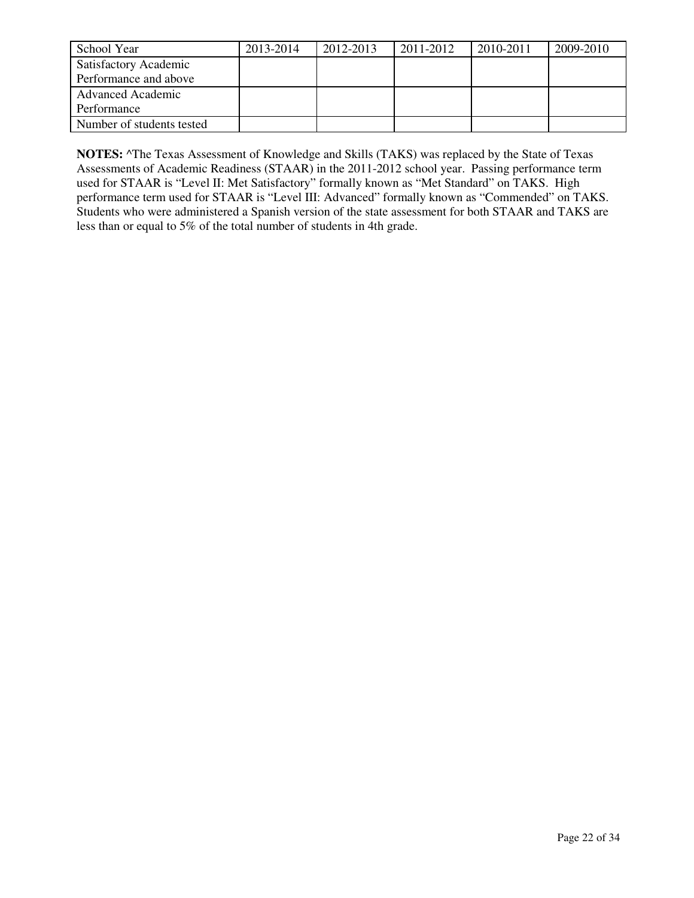| School Year               | 2013-2014 | 2012-2013 | 2011-2012 | 2010-2011 | 2009-2010 |
|---------------------------|-----------|-----------|-----------|-----------|-----------|
| Satisfactory Academic     |           |           |           |           |           |
| Performance and above     |           |           |           |           |           |
| <b>Advanced Academic</b>  |           |           |           |           |           |
| Performance               |           |           |           |           |           |
| Number of students tested |           |           |           |           |           |

**NOTES:** ^The Texas Assessment of Knowledge and Skills (TAKS) was replaced by the State of Texas Assessments of Academic Readiness (STAAR) in the 2011-2012 school year. Passing performance term used for STAAR is "Level II: Met Satisfactory" formally known as "Met Standard" on TAKS. High performance term used for STAAR is "Level III: Advanced" formally known as "Commended" on TAKS. Students who were administered a Spanish version of the state assessment for both STAAR and TAKS are less than or equal to 5% of the total number of students in 4th grade.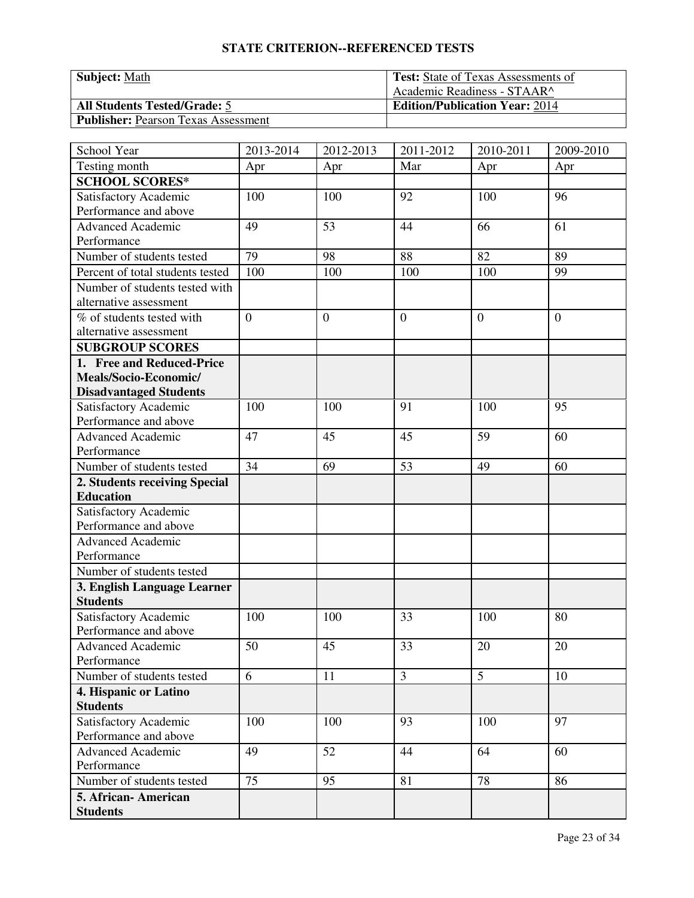| <b>Subject: Math</b>                       | <b>Test:</b> State of Texas Assessments of |
|--------------------------------------------|--------------------------------------------|
|                                            | Academic Readiness - STAAR^                |
| <b>All Students Tested/Grade: 5</b>        | <b>Edition/Publication Year: 2014</b>      |
| <b>Publisher: Pearson Texas Assessment</b> |                                            |

| School Year                             | 2013-2014      | 2012-2013      | 2011-2012      | 2010-2011       | 2009-2010      |
|-----------------------------------------|----------------|----------------|----------------|-----------------|----------------|
| Testing month                           | Apr            | Apr            | Mar            | Apr             | Apr            |
| <b>SCHOOL SCORES*</b>                   |                |                |                |                 |                |
| Satisfactory Academic                   | 100            | 100            | 92             | 100             | 96             |
| Performance and above                   |                |                |                |                 |                |
| <b>Advanced Academic</b>                | 49             | 53             | 44             | 66              | 61             |
| Performance                             |                |                |                |                 |                |
| Number of students tested               | 79             | 98             | 88             | $\overline{82}$ | 89             |
| Percent of total students tested        | 100            | 100            | 100            | 100             | 99             |
| Number of students tested with          |                |                |                |                 |                |
| alternative assessment                  |                |                |                |                 |                |
| $\overline{\%}$ of students tested with | $\overline{0}$ | $\overline{0}$ | $\overline{0}$ | $\theta$        | $\overline{0}$ |
| alternative assessment                  |                |                |                |                 |                |
| <b>SUBGROUP SCORES</b>                  |                |                |                |                 |                |
| 1. Free and Reduced-Price               |                |                |                |                 |                |
| Meals/Socio-Economic/                   |                |                |                |                 |                |
| <b>Disadvantaged Students</b>           |                |                |                |                 |                |
| Satisfactory Academic                   | 100            | 100            | 91             | 100             | 95             |
| Performance and above                   |                |                |                |                 |                |
| Advanced Academic                       | 47             | 45             | 45             | 59              | 60             |
| Performance                             |                |                |                |                 |                |
| Number of students tested               | 34             | 69             | 53             | 49              | 60             |
| 2. Students receiving Special           |                |                |                |                 |                |
| <b>Education</b>                        |                |                |                |                 |                |
| Satisfactory Academic                   |                |                |                |                 |                |
| Performance and above                   |                |                |                |                 |                |
| <b>Advanced Academic</b>                |                |                |                |                 |                |
| Performance                             |                |                |                |                 |                |
| Number of students tested               |                |                |                |                 |                |
| 3. English Language Learner             |                |                |                |                 |                |
| <b>Students</b>                         |                |                |                |                 |                |
| Satisfactory Academic                   | 100            | 100            | 33             | 100             | 80             |
| Performance and above                   |                |                |                |                 |                |
| <b>Advanced Academic</b>                | 50             | 45             | 33             | 20              | 20             |
| Performance                             |                |                |                |                 |                |
| Number of students tested               | 6              | 11             | $\overline{3}$ | 5               | 10             |
| 4. Hispanic or Latino                   |                |                |                |                 |                |
| <b>Students</b>                         |                |                |                |                 |                |
| Satisfactory Academic                   | 100            | 100            | 93             | 100             | 97             |
| Performance and above                   |                |                |                |                 |                |
| <b>Advanced Academic</b>                | 49             | 52             | 44             | 64              | 60             |
| Performance                             |                |                |                |                 |                |
| Number of students tested               | 75             | 95             | 81             | 78              | 86             |
| 5. African- American                    |                |                |                |                 |                |
| <b>Students</b>                         |                |                |                |                 |                |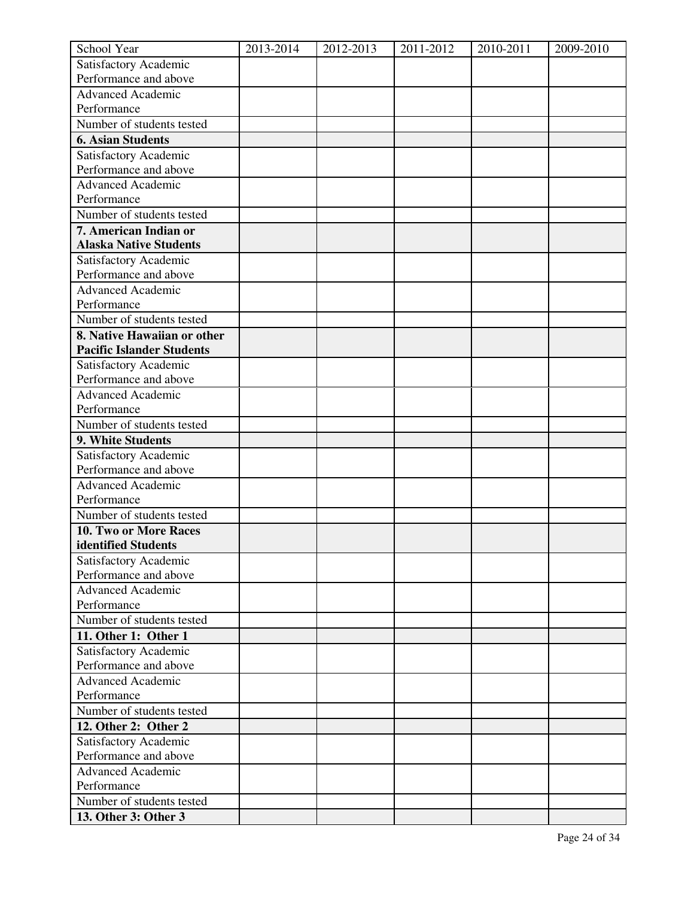| School Year                                    | 2013-2014 | 2012-2013 | 2011-2012 | 2010-2011 | 2009-2010 |
|------------------------------------------------|-----------|-----------|-----------|-----------|-----------|
| Satisfactory Academic                          |           |           |           |           |           |
| Performance and above                          |           |           |           |           |           |
| <b>Advanced Academic</b>                       |           |           |           |           |           |
| Performance                                    |           |           |           |           |           |
| Number of students tested                      |           |           |           |           |           |
| <b>6. Asian Students</b>                       |           |           |           |           |           |
| Satisfactory Academic                          |           |           |           |           |           |
| Performance and above                          |           |           |           |           |           |
| <b>Advanced Academic</b>                       |           |           |           |           |           |
| Performance                                    |           |           |           |           |           |
| Number of students tested                      |           |           |           |           |           |
| 7. American Indian or                          |           |           |           |           |           |
| <b>Alaska Native Students</b>                  |           |           |           |           |           |
| Satisfactory Academic                          |           |           |           |           |           |
| Performance and above                          |           |           |           |           |           |
| <b>Advanced Academic</b>                       |           |           |           |           |           |
| Performance                                    |           |           |           |           |           |
| Number of students tested                      |           |           |           |           |           |
| 8. Native Hawaiian or other                    |           |           |           |           |           |
| <b>Pacific Islander Students</b>               |           |           |           |           |           |
| Satisfactory Academic<br>Performance and above |           |           |           |           |           |
| <b>Advanced Academic</b>                       |           |           |           |           |           |
| Performance                                    |           |           |           |           |           |
| Number of students tested                      |           |           |           |           |           |
| 9. White Students                              |           |           |           |           |           |
| Satisfactory Academic                          |           |           |           |           |           |
| Performance and above                          |           |           |           |           |           |
| <b>Advanced Academic</b>                       |           |           |           |           |           |
| Performance                                    |           |           |           |           |           |
| Number of students tested                      |           |           |           |           |           |
| 10. Two or More Races                          |           |           |           |           |           |
| identified Students                            |           |           |           |           |           |
| Satisfactory Academic                          |           |           |           |           |           |
| Performance and above                          |           |           |           |           |           |
| <b>Advanced Academic</b>                       |           |           |           |           |           |
| Performance                                    |           |           |           |           |           |
| Number of students tested                      |           |           |           |           |           |
| 11. Other 1: Other 1                           |           |           |           |           |           |
| Satisfactory Academic                          |           |           |           |           |           |
| Performance and above                          |           |           |           |           |           |
| <b>Advanced Academic</b>                       |           |           |           |           |           |
| Performance                                    |           |           |           |           |           |
| Number of students tested                      |           |           |           |           |           |
| 12. Other 2: Other 2                           |           |           |           |           |           |
| Satisfactory Academic                          |           |           |           |           |           |
| Performance and above                          |           |           |           |           |           |
| <b>Advanced Academic</b>                       |           |           |           |           |           |
| Performance                                    |           |           |           |           |           |
| Number of students tested                      |           |           |           |           |           |
| 13. Other 3: Other 3                           |           |           |           |           |           |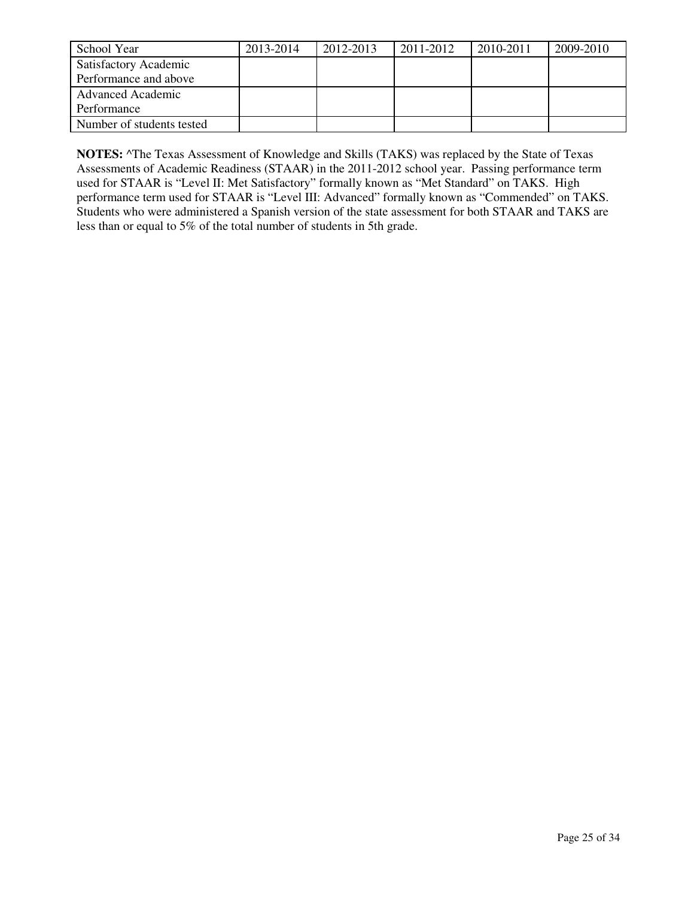| School Year               | 2013-2014 | 2012-2013 | 2011-2012 | 2010-2011 | 2009-2010 |
|---------------------------|-----------|-----------|-----------|-----------|-----------|
| Satisfactory Academic     |           |           |           |           |           |
| Performance and above     |           |           |           |           |           |
| <b>Advanced Academic</b>  |           |           |           |           |           |
| Performance               |           |           |           |           |           |
| Number of students tested |           |           |           |           |           |

**NOTES:** ^The Texas Assessment of Knowledge and Skills (TAKS) was replaced by the State of Texas Assessments of Academic Readiness (STAAR) in the 2011-2012 school year. Passing performance term used for STAAR is "Level II: Met Satisfactory" formally known as "Met Standard" on TAKS. High performance term used for STAAR is "Level III: Advanced" formally known as "Commended" on TAKS. Students who were administered a Spanish version of the state assessment for both STAAR and TAKS are less than or equal to 5% of the total number of students in 5th grade.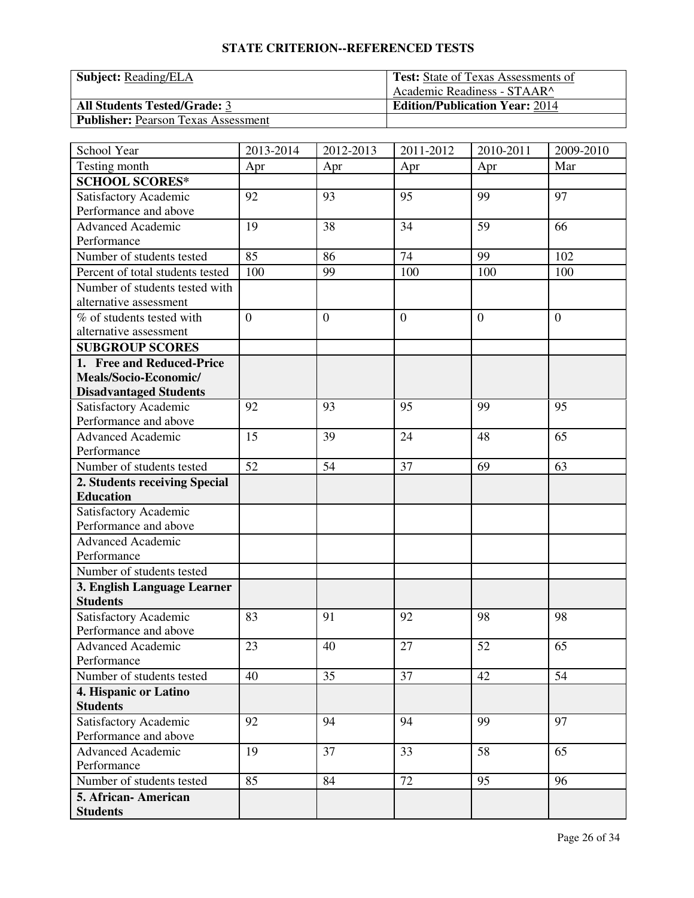| <b>Subject:</b> Reading/ELA                | <b>Test:</b> State of Texas Assessments of |
|--------------------------------------------|--------------------------------------------|
|                                            | Academic Readiness - STAAR^                |
| <b>All Students Tested/Grade: 3</b>        | <b>Edition/Publication Year: 2014</b>      |
| <b>Publisher: Pearson Texas Assessment</b> |                                            |

| School Year                      | 2013-2014      | 2012-2013 | 2011-2012      | 2010-2011 | 2009-2010      |
|----------------------------------|----------------|-----------|----------------|-----------|----------------|
| Testing month                    | Apr            | Apr       | Apr            | Apr       | Mar            |
| <b>SCHOOL SCORES*</b>            |                |           |                |           |                |
| Satisfactory Academic            | 92             | 93        | 95             | 99        | 97             |
| Performance and above            |                |           |                |           |                |
| <b>Advanced Academic</b>         | 19             | 38        | 34             | 59        | 66             |
| Performance                      |                |           |                |           |                |
| Number of students tested        | 85             | 86        | 74             | 99        | 102            |
| Percent of total students tested | 100            | 99        | 100            | 100       | 100            |
| Number of students tested with   |                |           |                |           |                |
| alternative assessment           |                |           |                |           |                |
| % of students tested with        | $\overline{0}$ | $\theta$  | $\overline{0}$ | $\theta$  | $\overline{0}$ |
| alternative assessment           |                |           |                |           |                |
| <b>SUBGROUP SCORES</b>           |                |           |                |           |                |
| 1. Free and Reduced-Price        |                |           |                |           |                |
| Meals/Socio-Economic/            |                |           |                |           |                |
| <b>Disadvantaged Students</b>    |                |           |                |           |                |
| Satisfactory Academic            | 92             | 93        | 95             | 99        | 95             |
| Performance and above            |                |           |                |           |                |
| Advanced Academic                | 15             | 39        | 24             | 48        | 65             |
| Performance                      |                |           |                |           |                |
| Number of students tested        | 52             | 54        | 37             | 69        | 63             |
| 2. Students receiving Special    |                |           |                |           |                |
| <b>Education</b>                 |                |           |                |           |                |
| Satisfactory Academic            |                |           |                |           |                |
| Performance and above            |                |           |                |           |                |
| <b>Advanced Academic</b>         |                |           |                |           |                |
| Performance                      |                |           |                |           |                |
| Number of students tested        |                |           |                |           |                |
| 3. English Language Learner      |                |           |                |           |                |
| <b>Students</b>                  |                |           |                |           |                |
| Satisfactory Academic            | 83             | 91        | 92             | 98        | 98             |
| Performance and above            |                |           |                |           |                |
| <b>Advanced Academic</b>         | 23             | 40        | 27             | 52        | 65             |
| Performance                      |                |           |                |           |                |
| Number of students tested        | 40             | 35        | 37             | 42        | 54             |
| 4. Hispanic or Latino            |                |           |                |           |                |
| <b>Students</b>                  |                |           |                |           |                |
| Satisfactory Academic            | 92             | 94        | 94             | 99        | 97             |
| Performance and above            |                |           |                |           |                |
| <b>Advanced Academic</b>         | 19             | 37        | 33             | 58        | 65             |
| Performance                      |                |           |                |           |                |
| Number of students tested        | 85             | 84        | 72             | 95        | 96             |
| 5. African- American             |                |           |                |           |                |
| <b>Students</b>                  |                |           |                |           |                |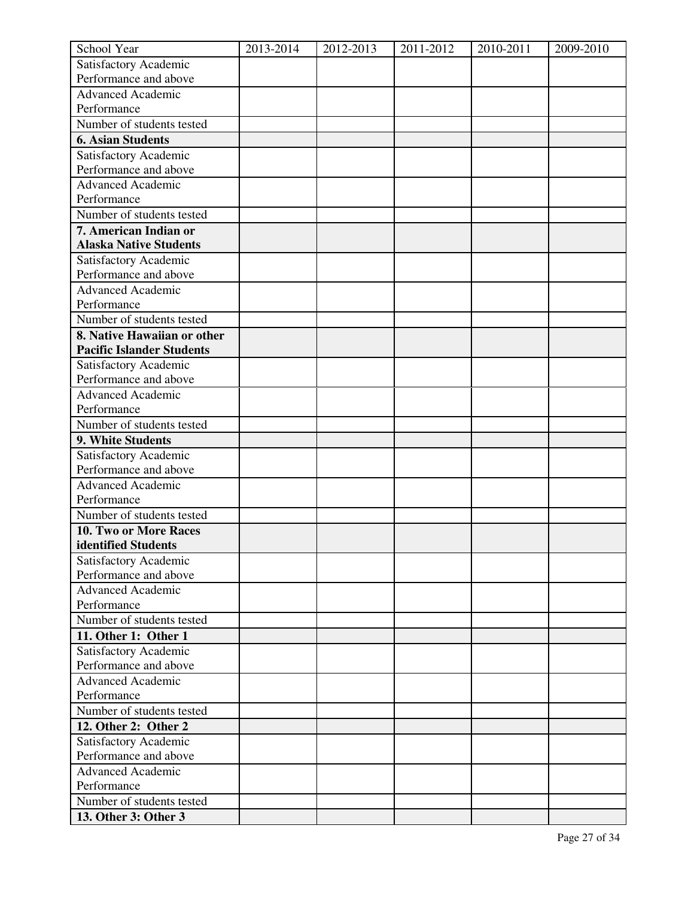| School Year                                    | 2013-2014 | 2012-2013 | 2011-2012 | 2010-2011 | 2009-2010 |
|------------------------------------------------|-----------|-----------|-----------|-----------|-----------|
| Satisfactory Academic                          |           |           |           |           |           |
| Performance and above                          |           |           |           |           |           |
| <b>Advanced Academic</b>                       |           |           |           |           |           |
| Performance                                    |           |           |           |           |           |
| Number of students tested                      |           |           |           |           |           |
| <b>6. Asian Students</b>                       |           |           |           |           |           |
| Satisfactory Academic                          |           |           |           |           |           |
| Performance and above                          |           |           |           |           |           |
| <b>Advanced Academic</b>                       |           |           |           |           |           |
| Performance                                    |           |           |           |           |           |
| Number of students tested                      |           |           |           |           |           |
| 7. American Indian or                          |           |           |           |           |           |
| <b>Alaska Native Students</b>                  |           |           |           |           |           |
| Satisfactory Academic                          |           |           |           |           |           |
| Performance and above                          |           |           |           |           |           |
| <b>Advanced Academic</b>                       |           |           |           |           |           |
| Performance                                    |           |           |           |           |           |
| Number of students tested                      |           |           |           |           |           |
| 8. Native Hawaiian or other                    |           |           |           |           |           |
| <b>Pacific Islander Students</b>               |           |           |           |           |           |
| Satisfactory Academic<br>Performance and above |           |           |           |           |           |
| <b>Advanced Academic</b>                       |           |           |           |           |           |
| Performance                                    |           |           |           |           |           |
| Number of students tested                      |           |           |           |           |           |
| 9. White Students                              |           |           |           |           |           |
| Satisfactory Academic                          |           |           |           |           |           |
| Performance and above                          |           |           |           |           |           |
| <b>Advanced Academic</b>                       |           |           |           |           |           |
| Performance                                    |           |           |           |           |           |
| Number of students tested                      |           |           |           |           |           |
| 10. Two or More Races                          |           |           |           |           |           |
| identified Students                            |           |           |           |           |           |
| Satisfactory Academic                          |           |           |           |           |           |
| Performance and above                          |           |           |           |           |           |
| <b>Advanced Academic</b>                       |           |           |           |           |           |
| Performance                                    |           |           |           |           |           |
| Number of students tested                      |           |           |           |           |           |
| 11. Other 1: Other 1                           |           |           |           |           |           |
| Satisfactory Academic                          |           |           |           |           |           |
| Performance and above                          |           |           |           |           |           |
| <b>Advanced Academic</b>                       |           |           |           |           |           |
| Performance                                    |           |           |           |           |           |
| Number of students tested                      |           |           |           |           |           |
| 12. Other 2: Other 2                           |           |           |           |           |           |
| Satisfactory Academic                          |           |           |           |           |           |
| Performance and above                          |           |           |           |           |           |
| <b>Advanced Academic</b>                       |           |           |           |           |           |
| Performance                                    |           |           |           |           |           |
| Number of students tested                      |           |           |           |           |           |
| 13. Other 3: Other 3                           |           |           |           |           |           |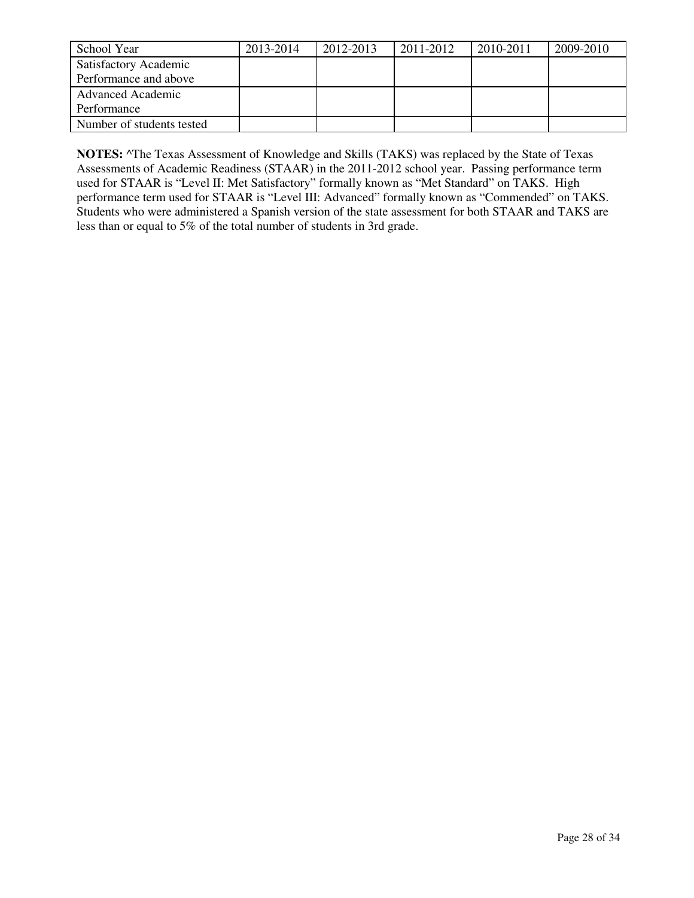| School Year               | 2013-2014 | 2012-2013 | 2011-2012 | 2010-2011 | 2009-2010 |
|---------------------------|-----------|-----------|-----------|-----------|-----------|
| Satisfactory Academic     |           |           |           |           |           |
| Performance and above     |           |           |           |           |           |
| <b>Advanced Academic</b>  |           |           |           |           |           |
| Performance               |           |           |           |           |           |
| Number of students tested |           |           |           |           |           |

**NOTES:** ^The Texas Assessment of Knowledge and Skills (TAKS) was replaced by the State of Texas Assessments of Academic Readiness (STAAR) in the 2011-2012 school year. Passing performance term used for STAAR is "Level II: Met Satisfactory" formally known as "Met Standard" on TAKS. High performance term used for STAAR is "Level III: Advanced" formally known as "Commended" on TAKS. Students who were administered a Spanish version of the state assessment for both STAAR and TAKS are less than or equal to 5% of the total number of students in 3rd grade.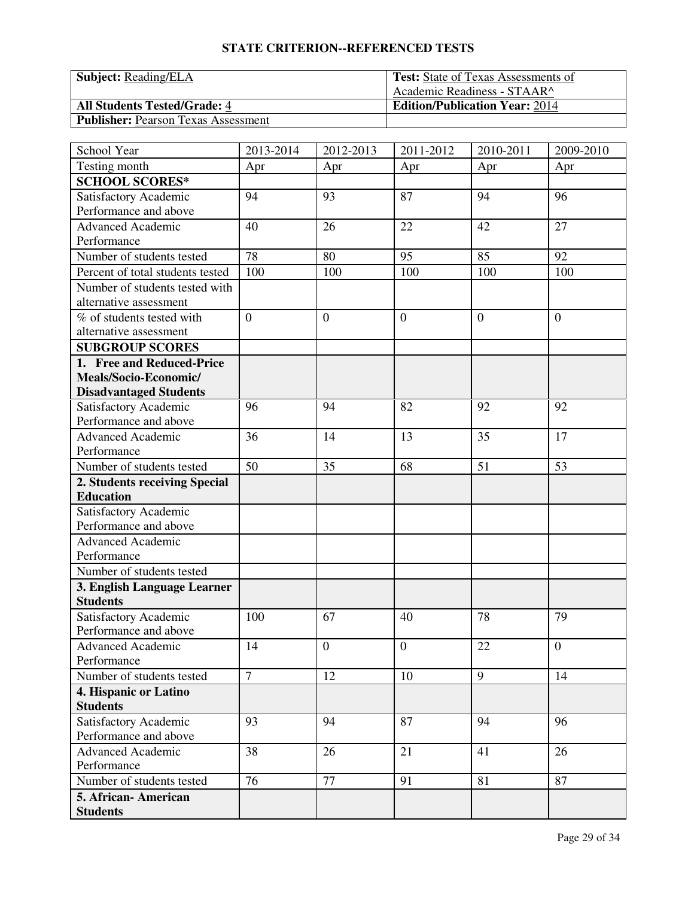| <b>Subject:</b> Reading/ELA                | <b>Test:</b> State of Texas Assessments of |
|--------------------------------------------|--------------------------------------------|
|                                            | Academic Readiness - STAAR^                |
| <b>All Students Tested/Grade: 4</b>        | <b>Edition/Publication Year: 2014</b>      |
| <b>Publisher: Pearson Texas Assessment</b> |                                            |

| School Year                             | 2013-2014       | 2012-2013        | 2011-2012        | 2010-2011 | 2009-2010      |
|-----------------------------------------|-----------------|------------------|------------------|-----------|----------------|
| Testing month                           | Apr             | Apr              | Apr              | Apr       | Apr            |
| <b>SCHOOL SCORES*</b>                   |                 |                  |                  |           |                |
| Satisfactory Academic                   | 94              | 93               | 87               | 94        | 96             |
| Performance and above                   |                 |                  |                  |           |                |
| <b>Advanced Academic</b>                | 40              | 26               | 22               | 42        | 27             |
| Performance                             |                 |                  |                  |           |                |
| Number of students tested               | $\overline{78}$ | 80               | 95               | 85        | 92             |
| Percent of total students tested        | 100             | 100              | 100              | 100       | 100            |
| Number of students tested with          |                 |                  |                  |           |                |
| alternative assessment                  |                 |                  |                  |           |                |
| $\overline{\%}$ of students tested with | $\overline{0}$  | $\mathbf{0}$     | $\overline{0}$   | $\theta$  | $\overline{0}$ |
| alternative assessment                  |                 |                  |                  |           |                |
| <b>SUBGROUP SCORES</b>                  |                 |                  |                  |           |                |
| 1. Free and Reduced-Price               |                 |                  |                  |           |                |
| Meals/Socio-Economic/                   |                 |                  |                  |           |                |
| <b>Disadvantaged Students</b>           |                 |                  |                  |           |                |
| Satisfactory Academic                   | 96              | 94               | 82               | 92        | 92             |
| Performance and above                   |                 |                  |                  |           |                |
| <b>Advanced Academic</b>                | 36              | 14               | 13               | 35        | 17             |
| Performance                             |                 |                  |                  |           |                |
| Number of students tested               | 50              | 35               | 68               | 51        | 53             |
| 2. Students receiving Special           |                 |                  |                  |           |                |
| <b>Education</b>                        |                 |                  |                  |           |                |
| Satisfactory Academic                   |                 |                  |                  |           |                |
| Performance and above                   |                 |                  |                  |           |                |
| <b>Advanced Academic</b>                |                 |                  |                  |           |                |
| Performance                             |                 |                  |                  |           |                |
| Number of students tested               |                 |                  |                  |           |                |
| 3. English Language Learner             |                 |                  |                  |           |                |
| <b>Students</b>                         |                 |                  |                  |           |                |
| Satisfactory Academic                   | 100             | 67               | 40               | 78        | 79             |
| Performance and above                   |                 |                  |                  |           |                |
| Advanced Academic                       | 14              | $\boldsymbol{0}$ | $\boldsymbol{0}$ | 22        | $\theta$       |
| Performance                             |                 |                  |                  |           |                |
| Number of students tested               | $\overline{7}$  | 12               | 10               | 9         | 14             |
| 4. Hispanic or Latino                   |                 |                  |                  |           |                |
| <b>Students</b>                         |                 |                  |                  |           |                |
| Satisfactory Academic                   | 93              | 94               | 87               | 94        | 96             |
| Performance and above                   |                 |                  |                  |           |                |
| <b>Advanced Academic</b>                | 38              | 26               | 21               | 41        | 26             |
| Performance                             |                 |                  |                  |           |                |
| Number of students tested               | 76              | 77               | 91               | 81        | 87             |
| 5. African-American                     |                 |                  |                  |           |                |
| <b>Students</b>                         |                 |                  |                  |           |                |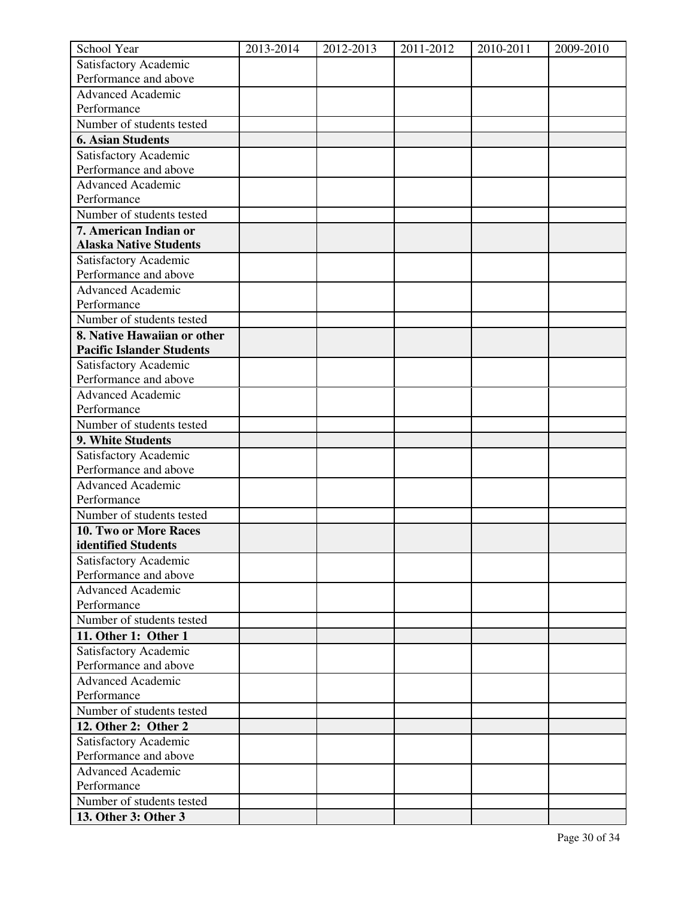| School Year                                    | 2013-2014 | 2012-2013 | 2011-2012 | 2010-2011 | 2009-2010 |
|------------------------------------------------|-----------|-----------|-----------|-----------|-----------|
| Satisfactory Academic                          |           |           |           |           |           |
| Performance and above                          |           |           |           |           |           |
| <b>Advanced Academic</b>                       |           |           |           |           |           |
| Performance                                    |           |           |           |           |           |
| Number of students tested                      |           |           |           |           |           |
| <b>6. Asian Students</b>                       |           |           |           |           |           |
| Satisfactory Academic                          |           |           |           |           |           |
| Performance and above                          |           |           |           |           |           |
| <b>Advanced Academic</b>                       |           |           |           |           |           |
| Performance                                    |           |           |           |           |           |
| Number of students tested                      |           |           |           |           |           |
| 7. American Indian or                          |           |           |           |           |           |
| <b>Alaska Native Students</b>                  |           |           |           |           |           |
| Satisfactory Academic                          |           |           |           |           |           |
| Performance and above                          |           |           |           |           |           |
| <b>Advanced Academic</b>                       |           |           |           |           |           |
| Performance                                    |           |           |           |           |           |
| Number of students tested                      |           |           |           |           |           |
| 8. Native Hawaiian or other                    |           |           |           |           |           |
| <b>Pacific Islander Students</b>               |           |           |           |           |           |
| Satisfactory Academic                          |           |           |           |           |           |
| Performance and above                          |           |           |           |           |           |
| <b>Advanced Academic</b>                       |           |           |           |           |           |
| Performance                                    |           |           |           |           |           |
| Number of students tested                      |           |           |           |           |           |
| 9. White Students                              |           |           |           |           |           |
| Satisfactory Academic                          |           |           |           |           |           |
| Performance and above                          |           |           |           |           |           |
| <b>Advanced Academic</b>                       |           |           |           |           |           |
| Performance                                    |           |           |           |           |           |
| Number of students tested                      |           |           |           |           |           |
| 10. Two or More Races                          |           |           |           |           |           |
| identified Students                            |           |           |           |           |           |
| Satisfactory Academic<br>Performance and above |           |           |           |           |           |
| <b>Advanced Academic</b>                       |           |           |           |           |           |
| Performance                                    |           |           |           |           |           |
| Number of students tested                      |           |           |           |           |           |
| 11. Other 1: Other 1                           |           |           |           |           |           |
| Satisfactory Academic                          |           |           |           |           |           |
| Performance and above                          |           |           |           |           |           |
| <b>Advanced Academic</b>                       |           |           |           |           |           |
| Performance                                    |           |           |           |           |           |
| Number of students tested                      |           |           |           |           |           |
| 12. Other 2: Other 2                           |           |           |           |           |           |
| Satisfactory Academic                          |           |           |           |           |           |
| Performance and above                          |           |           |           |           |           |
| <b>Advanced Academic</b>                       |           |           |           |           |           |
| Performance                                    |           |           |           |           |           |
| Number of students tested                      |           |           |           |           |           |
| 13. Other 3: Other 3                           |           |           |           |           |           |
|                                                |           |           |           |           |           |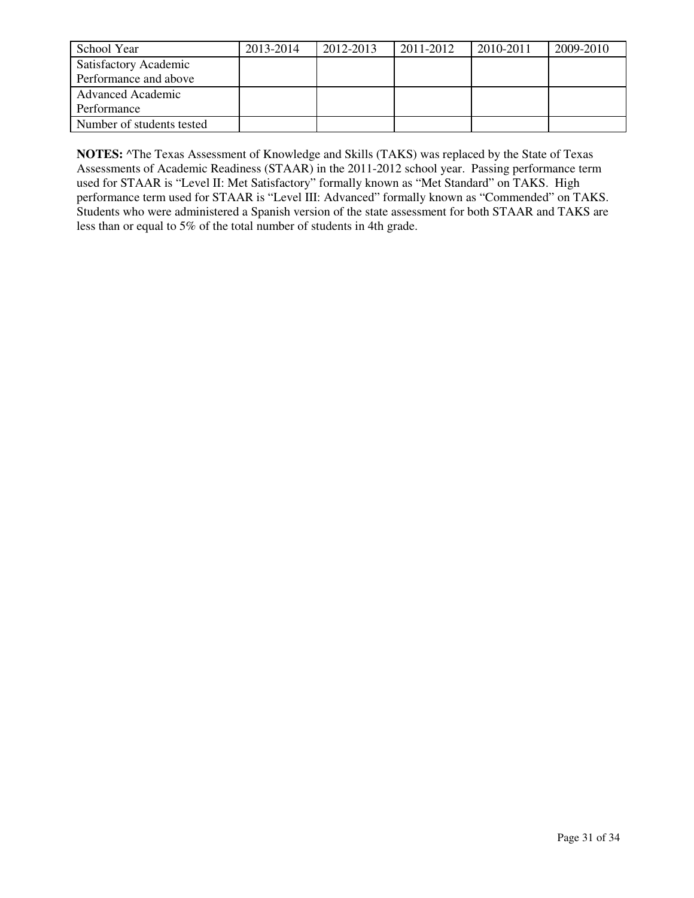| School Year               | 2013-2014 | 2012-2013 | 2011-2012 | 2010-2011 | 2009-2010 |
|---------------------------|-----------|-----------|-----------|-----------|-----------|
| Satisfactory Academic     |           |           |           |           |           |
| Performance and above     |           |           |           |           |           |
| <b>Advanced Academic</b>  |           |           |           |           |           |
| Performance               |           |           |           |           |           |
| Number of students tested |           |           |           |           |           |

**NOTES:** ^The Texas Assessment of Knowledge and Skills (TAKS) was replaced by the State of Texas Assessments of Academic Readiness (STAAR) in the 2011-2012 school year. Passing performance term used for STAAR is "Level II: Met Satisfactory" formally known as "Met Standard" on TAKS. High performance term used for STAAR is "Level III: Advanced" formally known as "Commended" on TAKS. Students who were administered a Spanish version of the state assessment for both STAAR and TAKS are less than or equal to 5% of the total number of students in 4th grade.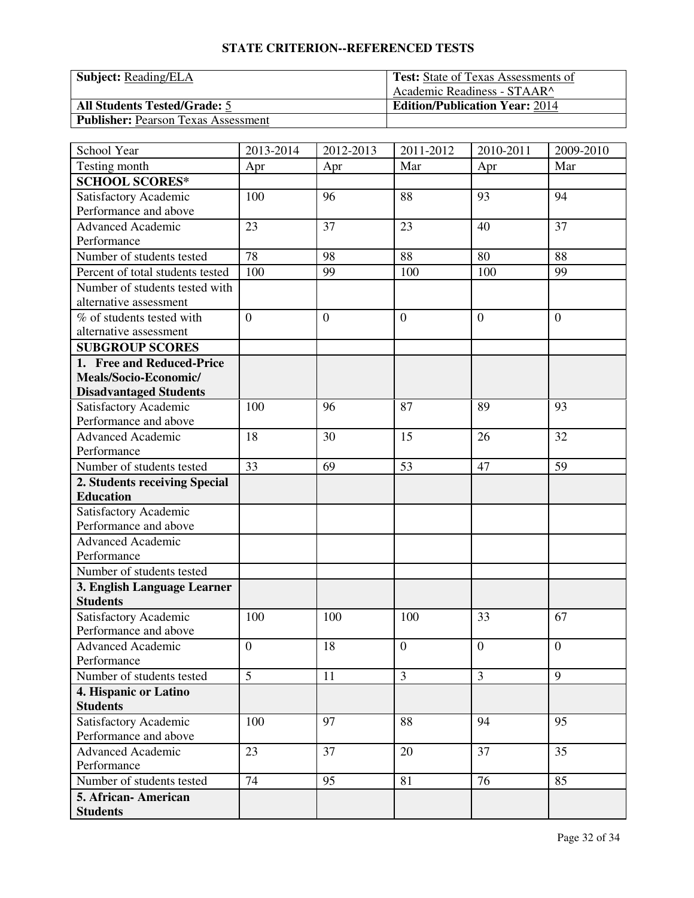| <b>Subject:</b> Reading/ELA                | <b>Test:</b> State of Texas Assessments of |
|--------------------------------------------|--------------------------------------------|
|                                            | Academic Readiness - STAAR^                |
| <b>All Students Tested/Grade: 5</b>        | <b>Edition/Publication Year: 2014</b>      |
| <b>Publisher:</b> Pearson Texas Assessment |                                            |

| School Year                             | 2013-2014      | 2012-2013      | 2011-2012      | 2010-2011      | 2009-2010      |
|-----------------------------------------|----------------|----------------|----------------|----------------|----------------|
| Testing month                           | Apr            | Apr            | Mar            | Apr            | Mar            |
| <b>SCHOOL SCORES*</b>                   |                |                |                |                |                |
| Satisfactory Academic                   | 100            | 96             | 88             | 93             | 94             |
| Performance and above                   |                |                |                |                |                |
| <b>Advanced Academic</b>                | 23             | 37             | 23             | 40             | 37             |
| Performance                             |                |                |                |                |                |
| Number of students tested               | 78             | 98             | 88             | 80             | 88             |
| Percent of total students tested        | 100            | 99             | 100            | 100            | 99             |
| Number of students tested with          |                |                |                |                |                |
| alternative assessment                  |                |                |                |                |                |
| $\overline{\%}$ of students tested with | $\overline{0}$ | $\overline{0}$ | $\overline{0}$ | $\theta$       | $\overline{0}$ |
| alternative assessment                  |                |                |                |                |                |
| <b>SUBGROUP SCORES</b>                  |                |                |                |                |                |
| 1. Free and Reduced-Price               |                |                |                |                |                |
| Meals/Socio-Economic/                   |                |                |                |                |                |
| <b>Disadvantaged Students</b>           |                |                |                |                |                |
| Satisfactory Academic                   | 100            | 96             | 87             | 89             | 93             |
| Performance and above                   |                |                |                |                |                |
| Advanced Academic                       | 18             | 30             | 15             | 26             | 32             |
| Performance                             |                |                |                |                |                |
| Number of students tested               | 33             | 69             | 53             | 47             | 59             |
| 2. Students receiving Special           |                |                |                |                |                |
| <b>Education</b>                        |                |                |                |                |                |
| Satisfactory Academic                   |                |                |                |                |                |
| Performance and above                   |                |                |                |                |                |
| <b>Advanced Academic</b>                |                |                |                |                |                |
| Performance                             |                |                |                |                |                |
| Number of students tested               |                |                |                |                |                |
| 3. English Language Learner             |                |                |                |                |                |
| <b>Students</b>                         |                |                |                |                |                |
| Satisfactory Academic                   | 100            | 100            | 100            | 33             | 67             |
| Performance and above                   |                |                |                |                |                |
| <b>Advanced Academic</b>                | $\overline{0}$ | 18             | $\overline{0}$ | $\mathbf{0}$   | $\mathbf{0}$   |
| Performance                             |                |                |                |                |                |
| Number of students tested               | 5              | 11             | $\overline{3}$ | $\overline{3}$ | 9              |
| 4. Hispanic or Latino                   |                |                |                |                |                |
| <b>Students</b>                         |                |                |                |                |                |
| Satisfactory Academic                   | 100            | 97             | 88             | 94             | 95             |
| Performance and above                   |                |                |                |                |                |
| <b>Advanced Academic</b>                | 23             | 37             | 20             | 37             | 35             |
| Performance                             |                |                |                |                |                |
| Number of students tested               | 74             | 95             | 81             | 76             | 85             |
| 5. African- American                    |                |                |                |                |                |
| <b>Students</b>                         |                |                |                |                |                |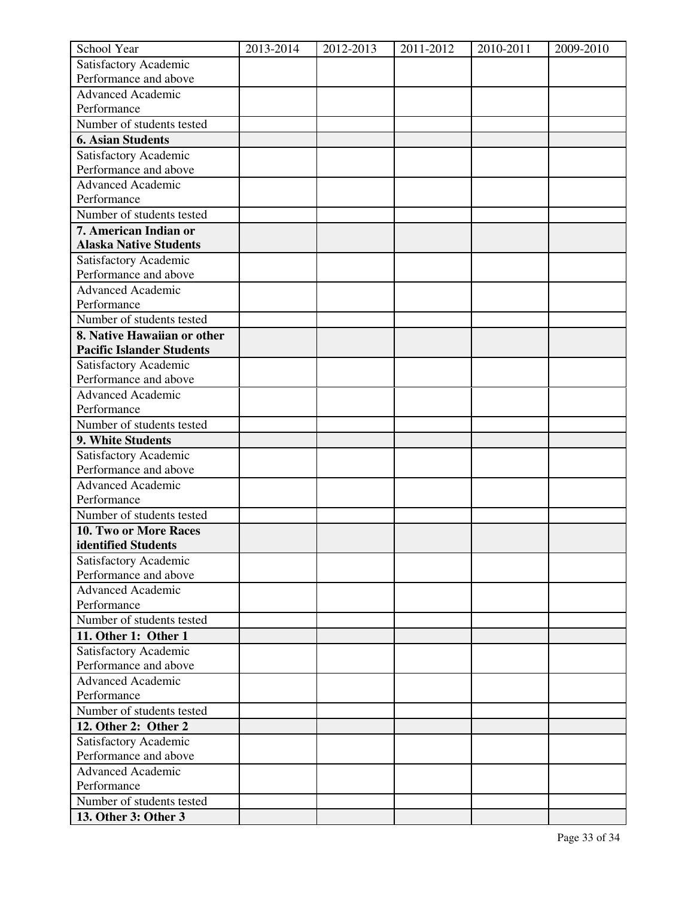| School Year                                    | 2013-2014 | 2012-2013 | 2011-2012 | 2010-2011 | 2009-2010 |
|------------------------------------------------|-----------|-----------|-----------|-----------|-----------|
| Satisfactory Academic                          |           |           |           |           |           |
| Performance and above                          |           |           |           |           |           |
| <b>Advanced Academic</b>                       |           |           |           |           |           |
| Performance                                    |           |           |           |           |           |
| Number of students tested                      |           |           |           |           |           |
| <b>6. Asian Students</b>                       |           |           |           |           |           |
| Satisfactory Academic                          |           |           |           |           |           |
| Performance and above                          |           |           |           |           |           |
| <b>Advanced Academic</b>                       |           |           |           |           |           |
| Performance                                    |           |           |           |           |           |
| Number of students tested                      |           |           |           |           |           |
| 7. American Indian or                          |           |           |           |           |           |
| <b>Alaska Native Students</b>                  |           |           |           |           |           |
| Satisfactory Academic                          |           |           |           |           |           |
| Performance and above                          |           |           |           |           |           |
| <b>Advanced Academic</b>                       |           |           |           |           |           |
| Performance                                    |           |           |           |           |           |
| Number of students tested                      |           |           |           |           |           |
| 8. Native Hawaiian or other                    |           |           |           |           |           |
| <b>Pacific Islander Students</b>               |           |           |           |           |           |
| Satisfactory Academic<br>Performance and above |           |           |           |           |           |
| <b>Advanced Academic</b>                       |           |           |           |           |           |
| Performance                                    |           |           |           |           |           |
| Number of students tested                      |           |           |           |           |           |
| 9. White Students                              |           |           |           |           |           |
| Satisfactory Academic                          |           |           |           |           |           |
| Performance and above                          |           |           |           |           |           |
| <b>Advanced Academic</b>                       |           |           |           |           |           |
| Performance                                    |           |           |           |           |           |
| Number of students tested                      |           |           |           |           |           |
| 10. Two or More Races                          |           |           |           |           |           |
| identified Students                            |           |           |           |           |           |
| Satisfactory Academic                          |           |           |           |           |           |
| Performance and above                          |           |           |           |           |           |
| <b>Advanced Academic</b>                       |           |           |           |           |           |
| Performance                                    |           |           |           |           |           |
| Number of students tested                      |           |           |           |           |           |
| 11. Other 1: Other 1                           |           |           |           |           |           |
| Satisfactory Academic                          |           |           |           |           |           |
| Performance and above                          |           |           |           |           |           |
| <b>Advanced Academic</b>                       |           |           |           |           |           |
| Performance                                    |           |           |           |           |           |
| Number of students tested                      |           |           |           |           |           |
| 12. Other 2: Other 2                           |           |           |           |           |           |
| Satisfactory Academic                          |           |           |           |           |           |
| Performance and above                          |           |           |           |           |           |
| <b>Advanced Academic</b>                       |           |           |           |           |           |
| Performance                                    |           |           |           |           |           |
| Number of students tested                      |           |           |           |           |           |
| 13. Other 3: Other 3                           |           |           |           |           |           |